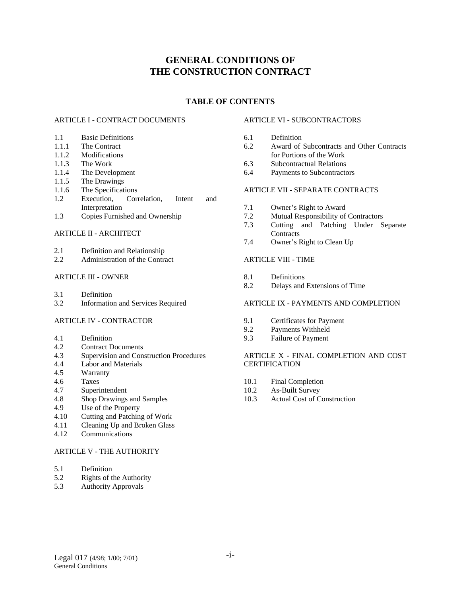# **GENERAL CONDITIONS OF THE CONSTRUCTION CONTRACT**

### **TABLE OF CONTENTS**

## ARTICLE I - CONTRACT DOCUMENTS

- 1.1 Basic Definitions
- 1.1.1 The Contract
- 1.1.2 Modifications
- 1.1.3 The Work
- 1.1.4 The Development
- 1.1.5 The Drawings
- 1.1.6 The Specifications 1.2 Execution, Correlation, Intent and
- Interpretation 1.3 Copies Furnished and Ownership

## ARTICLE II - ARCHITECT

- 2.1 Definition and Relationship
- 2.2 Administration of the Contract

#### ARTICLE III - OWNER

- 3.1 Definition
- 3.2 Information and Services Required

### ARTICLE IV - CONTRACTOR

- 4.1 Definition
- 4.2 Contract Documents
- 4.3 Supervision and Construction Procedures
- 4.4 Labor and Materials<br>4.5 Warranty
- Warranty
- 4.6 Taxes
- 4.7 Superintendent
- 4.8 Shop Drawings and Samples
- 4.9 Use of the Property
- 4.10 Cutting and Patching of Work
- 4.11 Cleaning Up and Broken Glass
- 4.12 Communications

#### ARTICLE V - THE AUTHORITY

- 5.1 Definition
- 5.2 Rights of the Authority
- 5.3 Authority Approvals

#### ARTICLE VI - SUBCONTRACTORS

- 6.1 Definition
- 6.2 Award of Subcontracts and Other Contracts for Portions of the Work
- 6.3 Subcontractual Relations
- 6.4 Payments to Subcontractors

#### ARTICLE VII - SEPARATE CONTRACTS

- 7.1 Owner's Right to Award
- 7.2 Mutual Responsibility of Contractors
- 7.3 Cutting and Patching Under Separate **Contracts**
- 7.4 Owner's Right to Clean Up

#### ARTICLE VIII - TIME

- 8.1 Definitions
- 8.2 Delays and Extensions of Time

### ARTICLE IX - PAYMENTS AND COMPLETION

- 9.1 Certificates for Payment
- 9.2 Payments Withheld
- 9.3 Failure of Payment

### ARTICLE X - FINAL COMPLETION AND COST **CERTIFICATION**

- 10.1 Final Completion
- 10.2 As-Built Survey
- 10.3 Actual Cost of Construction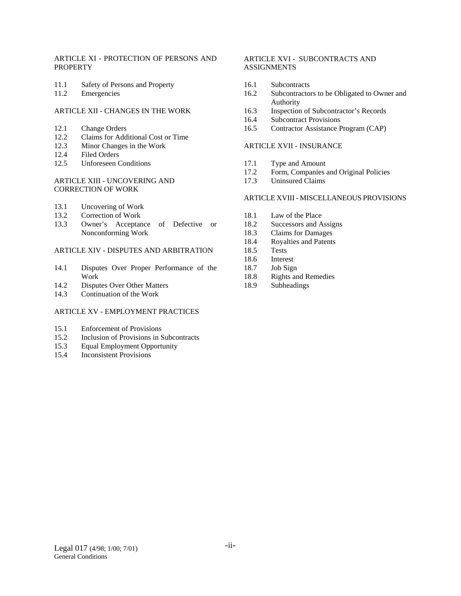#### ARTICLE XI - PROTECTION OF PERSONS AND PROPERTY

- 11.1 Safety of Persons and Property
- 11.2 Emergencies

#### ARTICLE XII - CHANGES IN THE WORK

- 12.1 Change Orders
- 12.2 Claims for Additional Cost or Time
- 12.3 Minor Changes in the Work<br>12.4 Filed Orders
- Filed Orders
- 12.5 Unforeseen Conditions

#### ARTICLE XIII - UNCOVERING AND CORRECTION OF WORK

- 13.1 Uncovering of Work
- 13.2 Correction of Work
- 13.3 Owner's Acceptance of Defective or Nonconforming Work

#### ARTICLE XIV - DISPUTES AND ARBITRATION

- 14.1 Disputes Over Proper Performance of the Work
- 14.2 Disputes Over Other Matters<br>14.3 Continuation of the Work
- Continuation of the Work

#### ARTICLE XV - EMPLOYMENT PRACTICES

- 15.1 Enforcement of Provisions
- 15.2 Inclusion of Provisions in Subcontracts
- 15.3 Equal Employment Opportunity
- 15.4 Inconsistent Provisions

#### ARTICLE XVI - SUBCONTRACTS AND **ASSIGNMENTS**

- 16.1 Subcontracts
- 16.2 Subcontractors to be Obligated to Owner and Authority
- 16.3 Inspection of Subcontractor's Records
- 16.4 Subcontract Provisions
- 16.5 Contractor Assistance Program (CAP)

### ARTICLE XVII - INSURANCE

- 17.1 Type and Amount
- 17.2 Form, Companies and Original Policies
- 17.3 Uninsured Claims

#### ARTICLE XVIII - MISCELLANEOUS PROVISIONS

- 18.1 Law of the Place
- 18.2 Successors and Assigns
- 18.3 Claims for Damages
- 18.4 Royalties and Patents
- 18.5 Tests
- 18.6 Interest
- 18.7 Job Sign
- 18.8 Rights and Remedies<br>18.9 Subheadings
- Subheadings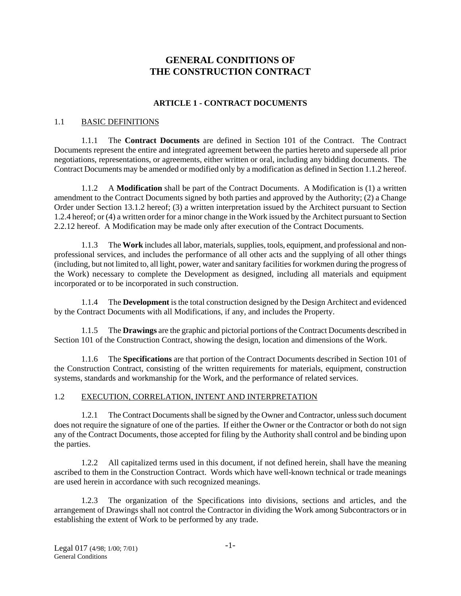# **GENERAL CONDITIONS OF THE CONSTRUCTION CONTRACT**

# **ARTICLE 1 - CONTRACT DOCUMENTS**

## 1.1 BASIC DEFINITIONS

1.1.1 The **Contract Documents** are defined in Section 101 of the Contract. The Contract Documents represent the entire and integrated agreement between the parties hereto and supersede all prior negotiations, representations, or agreements, either written or oral, including any bidding documents. The Contract Documents may be amended or modified only by a modification as defined in Section [1.1.2](#page-2-0) hereof.

<span id="page-2-0"></span>1.1.2 A **Modification** shall be part of the Contract Documents. A Modification is (1) a written amendment to the Contract Documents signed by both parties and approved by the Authority; (2) a Change Order under Section [13.1.2](#page-20-0) hereof; (3) a written interpretation issued by the Architect pursuant to Section [1.2.4](#page-3-0) hereof; or (4) a written order for a minor change in the Work issued by the Architect pursuant to Section [2.2.12](#page-4-0) hereof. A Modification may be made only after execution of the Contract Documents.

1.1.3 The **Work** includes all labor, materials, supplies, tools, equipment, and professional and nonprofessional services, and includes the performance of all other acts and the supplying of all other things (including, but not limited to, all light, power, water and sanitary facilities for workmen during the progress of the Work) necessary to complete the Development as designed, including all materials and equipment incorporated or to be incorporated in such construction.

1.1.4 The **Development** is the total construction designed by the Design Architect and evidenced by the Contract Documents with all Modifications, if any, and includes the Property.

1.1.5 The **Drawings** are the graphic and pictorial portions of the Contract Documents described in Section 101 of the Construction Contract, showing the design, location and dimensions of the Work.

1.1.6 The **Specifications** are that portion of the Contract Documents described in Section 101 of the Construction Contract, consisting of the written requirements for materials, equipment, construction systems, standards and workmanship for the Work, and the performance of related services.

# 1.2 EXECUTION, CORRELATION, INTENT AND INTERPRETATION

1.2.1 The Contract Documents shall be signed by the Owner and Contractor, unless such document does not require the signature of one of the parties. If either the Owner or the Contractor or both do not sign any of the Contract Documents, those accepted for filing by the Authority shall control and be binding upon the parties.

1.2.2 All capitalized terms used in this document, if not defined herein, shall have the meaning ascribed to them in the Construction Contract. Words which have well-known technical or trade meanings are used herein in accordance with such recognized meanings.

1.2.3 The organization of the Specifications into divisions, sections and articles, and the arrangement of Drawings shall not control the Contractor in dividing the Work among Subcontractors or in establishing the extent of Work to be performed by any trade.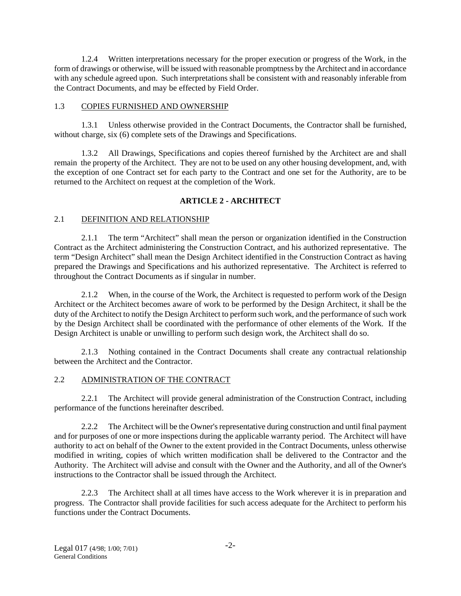<span id="page-3-0"></span>1.2.4 Written interpretations necessary for the proper execution or progress of the Work, in the form of drawings or otherwise, will be issued with reasonable promptness by the Architect and in accordance with any schedule agreed upon. Such interpretations shall be consistent with and reasonably inferable from the Contract Documents, and may be effected by Field Order.

# 1.3 COPIES FURNISHED AND OWNERSHIP

1.3.1 Unless otherwise provided in the Contract Documents, the Contractor shall be furnished, without charge, six (6) complete sets of the Drawings and Specifications.

1.3.2 All Drawings, Specifications and copies thereof furnished by the Architect are and shall remain the property of the Architect. They are not to be used on any other housing development, and, with the exception of one Contract set for each party to the Contract and one set for the Authority, are to be returned to the Architect on request at the completion of the Work.

# **ARTICLE 2 - ARCHITECT**

## 2.1 DEFINITION AND RELATIONSHIP

2.1.1 The term "Architect" shall mean the person or organization identified in the Construction Contract as the Architect administering the Construction Contract, and his authorized representative. The term "Design Architect" shall mean the Design Architect identified in the Construction Contract as having prepared the Drawings and Specifications and his authorized representative. The Architect is referred to throughout the Contract Documents as if singular in number.

2.1.2 When, in the course of the Work, the Architect is requested to perform work of the Design Architect or the Architect becomes aware of work to be performed by the Design Architect, it shall be the duty of the Architect to notify the Design Architect to perform such work, and the performance of such work by the Design Architect shall be coordinated with the performance of other elements of the Work. If the Design Architect is unable or unwilling to perform such design work, the Architect shall do so.

2.1.3 Nothing contained in the Contract Documents shall create any contractual relationship between the Architect and the Contractor.

### 2.2 ADMINISTRATION OF THE CONTRACT

2.2.1 The Architect will provide general administration of the Construction Contract, including performance of the functions hereinafter described.

2.2.2 The Architect will be the Owner's representative during construction and until final payment and for purposes of one or more inspections during the applicable warranty period. The Architect will have authority to act on behalf of the Owner to the extent provided in the Contract Documents, unless otherwise modified in writing, copies of which written modification shall be delivered to the Contractor and the Authority. The Architect will advise and consult with the Owner and the Authority, and all of the Owner's instructions to the Contractor shall be issued through the Architect.

2.2.3 The Architect shall at all times have access to the Work wherever it is in preparation and progress. The Contractor shall provide facilities for such access adequate for the Architect to perform his functions under the Contract Documents.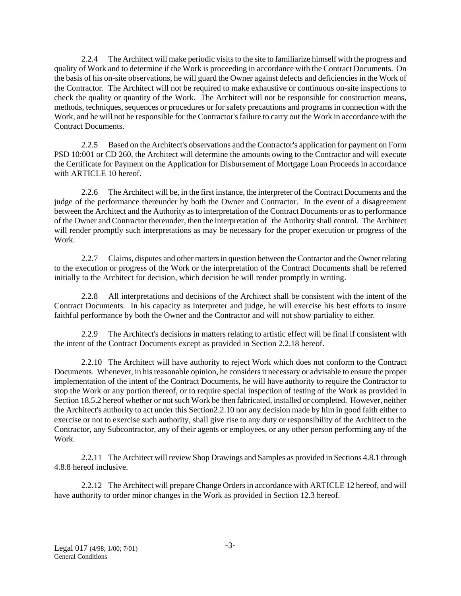<span id="page-4-2"></span>2.2.4 The Architect will make periodic visits to the site to familiarize himself with the progress and quality of Work and to determine if the Work is proceeding in accordance with the Contract Documents. On the basis of his on-site observations, he will guard the Owner against defects and deficiencies in the Work of the Contractor. The Architect will not be required to make exhaustive or continuous on-site inspections to check the quality or quantity of the Work. The Architect will not be responsible for construction means, methods, techniques, sequences or procedures or for safety precautions and programs in connection with the Work, and he will not be responsible for the Contractor's failure to carry out the Work in accordance with the Contract Documents.

2.2.5 Based on the Architect's observations and the Contractor's application for payment on Form PSD 10:001 or CD 260, the Architect will determine the amounts owing to the Contractor and will execute the Certificate for Payment on the Application for Disbursement of Mortgage Loan Proceeds in accordance with [ARTICLE 10](#page-15-0) hereof.

2.2.6 The Architect will be, in the first instance, the interpreter of the Contract Documents and the judge of the performance thereunder by both the Owner and Contractor. In the event of a disagreement between the Architect and the Authority as to interpretation of the Contract Documents or as to performance of the Owner and Contractor thereunder, then the interpretation of the Authority shall control. The Architect will render promptly such interpretations as may be necessary for the proper execution or progress of the Work.

2.2.7 Claims, disputes and other matters in question between the Contractor and the Owner relating to the execution or progress of the Work or the interpretation of the Contract Documents shall be referred initially to the Architect for decision, which decision he will render promptly in writing.

2.2.8 All interpretations and decisions of the Architect shall be consistent with the intent of the Contract Documents. In his capacity as interpreter and judge, he will exercise his best efforts to insure faithful performance by both the Owner and the Contractor and will not show partiality to either.

2.2.9 The Architect's decisions in matters relating to artistic effect will be final if consistent with the intent of the Contract Documents except as provided in Section [2.2.18](#page-5-0) hereof.

<span id="page-4-1"></span>2.2.10 The Architect will have authority to reject Work which does not conform to the Contract Documents. Whenever, in his reasonable opinion, he considers it necessary or advisable to ensure the proper implementation of the intent of the Contract Documents, he will have authority to require the Contractor to stop the Work or any portion thereof, or to require special inspection of testing of the Work as provided in Section [18.5.2](#page-33-0) hereof whether or not such Work be then fabricated, installed or completed. However, neither the Architect's authority to act under this Sectio[n2.2.10](#page-4-1) nor any decision made by him in good faith either to exercise or not to exercise such authority, shall give rise to any duty or responsibility of the Architect to the Contractor, any Subcontractor, any of their agents or employees, or any other person performing any of the Work.

2.2.11 The Architect will review Shop Drawings and Samples as provided in Sections [4.8.1 th](#page-8-0)rough [4.8.8](#page-8-1) hereof inclusive.

<span id="page-4-0"></span>2.2.12 The Architect will prepare Change Orders in accordance with [ARTICLE 12 h](#page-18-0)ereof, and will have authority to order minor changes in the Work as provided in Section [12.3](#page-19-0) hereof.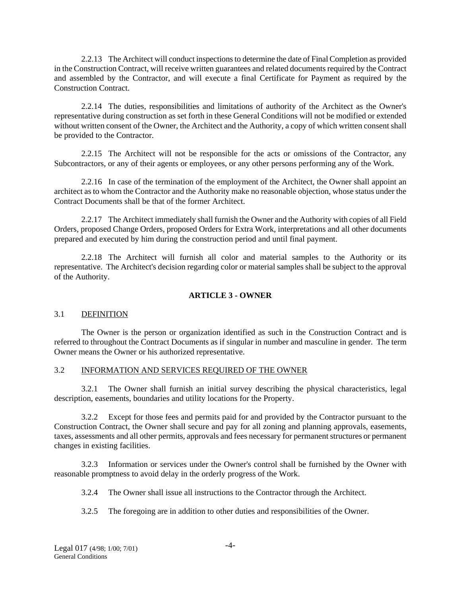2.2.13 The Architect will conduct inspections to determine the date of Final Completion as provided in the Construction Contract, will receive written guarantees and related documents required by the Contract and assembled by the Contractor, and will execute a final Certificate for Payment as required by the Construction Contract.

2.2.14 The duties, responsibilities and limitations of authority of the Architect as the Owner's representative during construction as set forth in these General Conditions will not be modified or extended without written consent of the Owner, the Architect and the Authority, a copy of which written consent shall be provided to the Contractor.

2.2.15 The Architect will not be responsible for the acts or omissions of the Contractor, any Subcontractors, or any of their agents or employees, or any other persons performing any of the Work.

2.2.16 In case of the termination of the employment of the Architect, the Owner shall appoint an architect as to whom the Contractor and the Authority make no reasonable objection, whose status under the Contract Documents shall be that of the former Architect.

2.2.17 The Architect immediately shall furnish the Owner and the Authority with copies of all Field Orders, proposed Change Orders, proposed Orders for Extra Work, interpretations and all other documents prepared and executed by him during the construction period and until final payment.

<span id="page-5-0"></span>2.2.18 The Architect will furnish all color and material samples to the Authority or its representative. The Architect's decision regarding color or material samples shall be subject to the approval of the Authority.

### **ARTICLE 3 - OWNER**

### 3.1 DEFINITION

The Owner is the person or organization identified as such in the Construction Contract and is referred to throughout the Contract Documents as if singular in number and masculine in gender. The term Owner means the Owner or his authorized representative.

### 3.2 INFORMATION AND SERVICES REQUIRED OF THE OWNER

3.2.1 The Owner shall furnish an initial survey describing the physical characteristics, legal description, easements, boundaries and utility locations for the Property.

3.2.2 Except for those fees and permits paid for and provided by the Contractor pursuant to the Construction Contract, the Owner shall secure and pay for all zoning and planning approvals, easements, taxes, assessments and all other permits, approvals and fees necessary for permanent structures or permanent changes in existing facilities.

3.2.3 Information or services under the Owner's control shall be furnished by the Owner with reasonable promptness to avoid delay in the orderly progress of the Work.

3.2.4 The Owner shall issue all instructions to the Contractor through the Architect.

3.2.5 The foregoing are in addition to other duties and responsibilities of the Owner.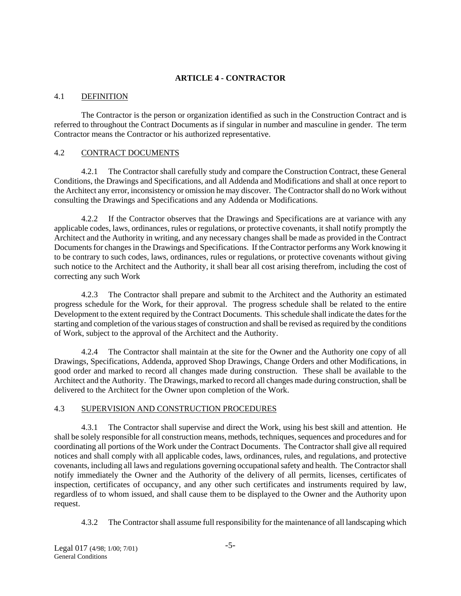### <span id="page-6-0"></span>**ARTICLE 4 - CONTRACTOR**

### 4.1 DEFINITION

The Contractor is the person or organization identified as such in the Construction Contract and is referred to throughout the Contract Documents as if singular in number and masculine in gender. The term Contractor means the Contractor or his authorized representative.

## 4.2 CONTRACT DOCUMENTS

4.2.1 The Contractor shall carefully study and compare the Construction Contract, these General Conditions, the Drawings and Specifications, and all Addenda and Modifications and shall at once report to the Architect any error, inconsistency or omission he may discover. The Contractor shall do no Work without consulting the Drawings and Specifications and any Addenda or Modifications.

4.2.2 If the Contractor observes that the Drawings and Specifications are at variance with any applicable codes, laws, ordinances, rules or regulations, or protective covenants, it shall notify promptly the Architect and the Authority in writing, and any necessary changes shall be made as provided in the Contract Documents for changes in the Drawings and Specifications. If the Contractor performs any Work knowing it to be contrary to such codes, laws, ordinances, rules or regulations, or protective covenants without giving such notice to the Architect and the Authority, it shall bear all cost arising therefrom, including the cost of correcting any such Work

4.2.3 The Contractor shall prepare and submit to the Architect and the Authority an estimated progress schedule for the Work, for their approval. The progress schedule shall be related to the entire Development to the extent required by the Contract Documents. This schedule shall indicate the dates for the starting and completion of the various stages of construction and shall be revised as required by the conditions of Work, subject to the approval of the Architect and the Authority.

4.2.4 The Contractor shall maintain at the site for the Owner and the Authority one copy of all Drawings, Specifications, Addenda, approved Shop Drawings, Change Orders and other Modifications, in good order and marked to record all changes made during construction. These shall be available to the Architect and the Authority. The Drawings, marked to record all changes made during construction, shall be delivered to the Architect for the Owner upon completion of the Work.

# 4.3 SUPERVISION AND CONSTRUCTION PROCEDURES

4.3.1 The Contractor shall supervise and direct the Work, using his best skill and attention. He shall be solely responsible for all construction means, methods, techniques, sequences and procedures and for coordinating all portions of the Work under the Contract Documents. The Contractor shall give all required notices and shall comply with all applicable codes, laws, ordinances, rules, and regulations, and protective covenants, including all laws and regulations governing occupational safety and health. The Contractor shall notify immediately the Owner and the Authority of the delivery of all permits, licenses, certificates of inspection, certificates of occupancy, and any other such certificates and instruments required by law, regardless of to whom issued, and shall cause them to be displayed to the Owner and the Authority upon request.

4.3.2 The Contractor shall assume full responsibility for the maintenance of all landscaping which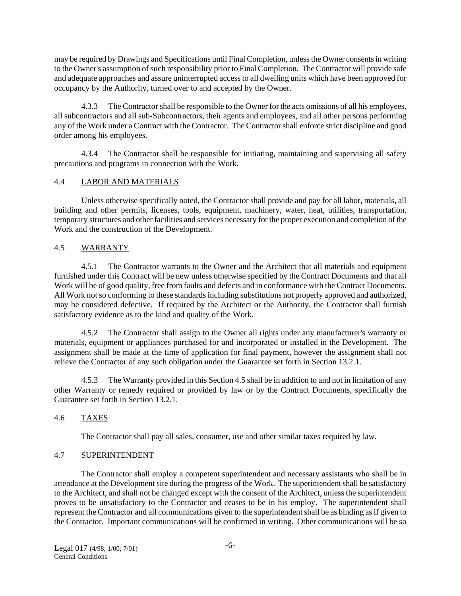may be required by Drawings and Specifications until Final Completion, unless the Owner consents in writing to the Owner's assumption of such responsibility prior to Final Completion. The Contractor will provide safe and adequate approaches and assure uninterrupted access to all dwelling units which have been approved for occupancy by the Authority, turned over to and accepted by the Owner.

4.3.3 The Contractor shall be responsible to the Owner for the acts omissions of all his employees, all subcontractors and all sub-Subcontractors, their agents and employees, and all other persons performing any of the Work under a Contract with the Contractor. The Contractor shall enforce strict discipline and good order among his employees.

4.3.4 The Contractor shall be responsible for initiating, maintaining and supervising all safety precautions and programs in connection with the Work.

# 4.4 LABOR AND MATERIALS

Unless otherwise specifically noted, the Contractor shall provide and pay for all labor, materials, all building and other permits, licenses, tools, equipment, machinery, water, heat, utilities, transportation, temporary structures and other facilities and services necessary for the proper execution and completion of the Work and the construction of the Development.

## <span id="page-7-0"></span>4.5 WARRANTY

<span id="page-7-1"></span>4.5.1 The Contractor warrants to the Owner and the Architect that all materials and equipment furnished under this Contract will be new unless otherwise specified by the Contract Documents and that all Work will be of good quality, free from faults and defects and in conformance with the Contract Documents. All Work not so conforming to these standards including substitutions not properly approved and authorized, may be considered defective. If required by the Architect or the Authority, the Contractor shall furnish satisfactory evidence as to the kind and quality of the Work.

4.5.2 The Contractor shall assign to the Owner all rights under any manufacturer's warranty or materials, equipment or appliances purchased for and incorporated or installed in the Development. The assignment shall be made at the time of application for final payment, however the assignment shall not relieve the Contractor of any such obligation under the Guarantee set forth in Section [13.2.1.](#page-20-1)

4.5.3 The Warranty provided in this Section [4.5](#page-7-0) shall be in addition to and not in limitation of any other Warranty or remedy required or provided by law or by the Contract Documents, specifically the Guarantee set forth in Section [13.2.1.](#page-20-1)

### 4.6 TAXES

The Contractor shall pay all sales, consumer, use and other similar taxes required by law.

# 4.7 SUPERINTENDENT

The Contractor shall employ a competent superintendent and necessary assistants who shall be in attendance at the Development site during the progress of the Work. The superintendent shall be satisfactory to the Architect, and shall not be changed except with the consent of the Architect, unless the superintendent proves to be unsatisfactory to the Contractor and ceases to be in his employ. The superintendent shall represent the Contractor and all communications given to the superintendent shall be as binding as if given to the Contractor. Important communications will be confirmed in writing. Other communications will be so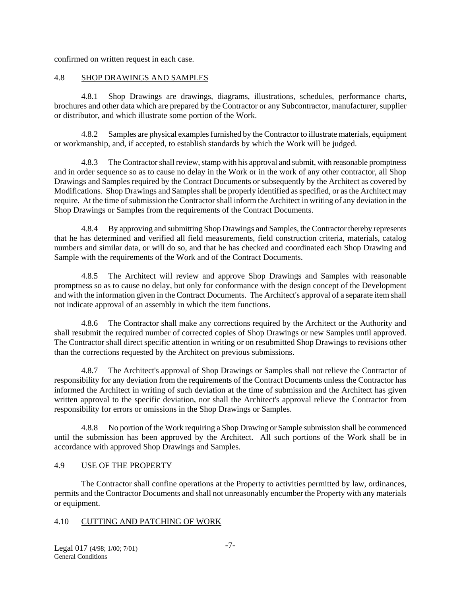confirmed on written request in each case.

### 4.8 SHOP DRAWINGS AND SAMPLES

<span id="page-8-0"></span>4.8.1 Shop Drawings are drawings, diagrams, illustrations, schedules, performance charts, brochures and other data which are prepared by the Contractor or any Subcontractor, manufacturer, supplier or distributor, and which illustrate some portion of the Work.

4.8.2 Samples are physical examples furnished by the Contractor to illustrate materials, equipment or workmanship, and, if accepted, to establish standards by which the Work will be judged.

4.8.3 The Contractor shall review, stamp with his approval and submit, with reasonable promptness and in order sequence so as to cause no delay in the Work or in the work of any other contractor, all Shop Drawings and Samples required by the Contract Documents or subsequently by the Architect as covered by Modifications. Shop Drawings and Samples shall be properly identified as specified, or as the Architect may require. At the time of submission the Contractor shall inform the Architect in writing of any deviation in the Shop Drawings or Samples from the requirements of the Contract Documents.

4.8.4 By approving and submitting Shop Drawings and Samples, the Contractor thereby represents that he has determined and verified all field measurements, field construction criteria, materials, catalog numbers and similar data, or will do so, and that he has checked and coordinated each Shop Drawing and Sample with the requirements of the Work and of the Contract Documents.

4.8.5 The Architect will review and approve Shop Drawings and Samples with reasonable promptness so as to cause no delay, but only for conformance with the design concept of the Development and with the information given in the Contract Documents. The Architect's approval of a separate item shall not indicate approval of an assembly in which the item functions.

4.8.6 The Contractor shall make any corrections required by the Architect or the Authority and shall resubmit the required number of corrected copies of Shop Drawings or new Samples until approved. The Contractor shall direct specific attention in writing or on resubmitted Shop Drawings to revisions other than the corrections requested by the Architect on previous submissions.

4.8.7 The Architect's approval of Shop Drawings or Samples shall not relieve the Contractor of responsibility for any deviation from the requirements of the Contract Documents unless the Contractor has informed the Architect in writing of such deviation at the time of submission and the Architect has given written approval to the specific deviation, nor shall the Architect's approval relieve the Contractor from responsibility for errors or omissions in the Shop Drawings or Samples.

<span id="page-8-1"></span>4.8.8 No portion of the Work requiring a Shop Drawing or Sample submission shall be commenced until the submission has been approved by the Architect. All such portions of the Work shall be in accordance with approved Shop Drawings and Samples.

# 4.9 USE OF THE PROPERTY

The Contractor shall confine operations at the Property to activities permitted by law, ordinances, permits and the Contractor Documents and shall not unreasonably encumber the Property with any materials or equipment.

### 4.10 CUTTING AND PATCHING OF WORK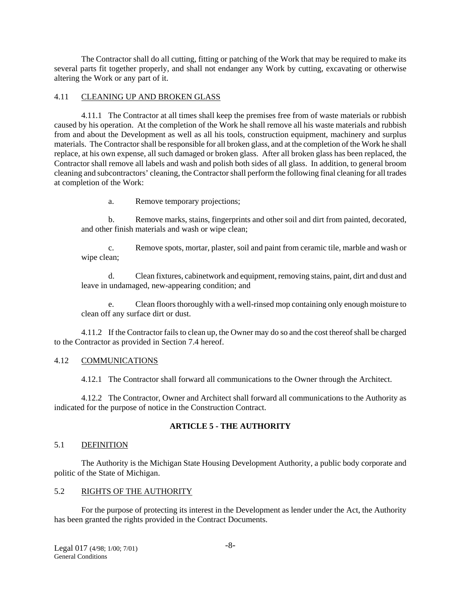The Contractor shall do all cutting, fitting or patching of the Work that may be required to make its several parts fit together properly, and shall not endanger any Work by cutting, excavating or otherwise altering the Work or any part of it.

### <span id="page-9-0"></span>4.11 CLEANING UP AND BROKEN GLASS

4.11.1 The Contractor at all times shall keep the premises free from of waste materials or rubbish caused by his operation. At the completion of the Work he shall remove all his waste materials and rubbish from and about the Development as well as all his tools, construction equipment, machinery and surplus materials. The Contractor shall be responsible for all broken glass, and at the completion of the Work he shall replace, at his own expense, all such damaged or broken glass. After all broken glass has been replaced, the Contractor shall remove all labels and wash and polish both sides of all glass. In addition, to general broom cleaning and subcontractors' cleaning, the Contractor shall perform the following final cleaning for all trades at completion of the Work:

a. Remove temporary projections;

b. Remove marks, stains, fingerprints and other soil and dirt from painted, decorated, and other finish materials and wash or wipe clean;

c. Remove spots, mortar, plaster, soil and paint from ceramic tile, marble and wash or wipe clean;

d. Clean fixtures, cabinetwork and equipment, removing stains, paint, dirt and dust and leave in undamaged, new-appearing condition; and

e. Clean floors thoroughly with a well-rinsed mop containing only enough moisture to clean off any surface dirt or dust.

4.11.2 If the Contractor fails to clean up, the Owner may do so and the cost thereof shall be charged to the Contractor as provided in Section [7.4](#page-13-0) hereof.

#### 4.12 COMMUNICATIONS

4.12.1 The Contractor shall forward all communications to the Owner through the Architect.

4.12.2 The Contractor, Owner and Architect shall forward all communications to the Authority as indicated for the purpose of notice in the Construction Contract.

### **ARTICLE 5 - THE AUTHORITY**

### 5.1 DEFINITION

The Authority is the Michigan State Housing Development Authority, a public body corporate and politic of the State of Michigan.

#### 5.2 RIGHTS OF THE AUTHORITY

For the purpose of protecting its interest in the Development as lender under the Act, the Authority has been granted the rights provided in the Contract Documents.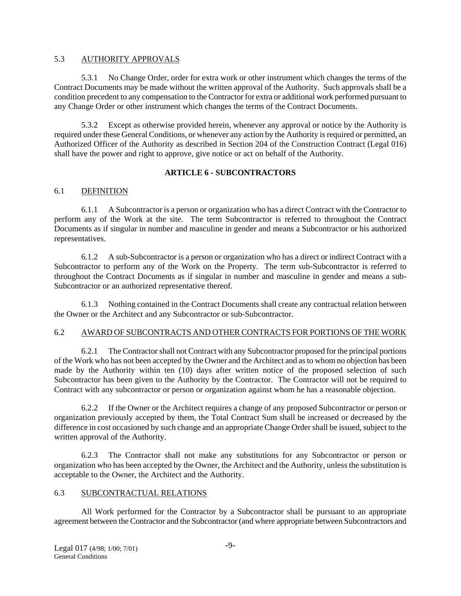### 5.3 AUTHORITY APPROVALS

5.3.1 No Change Order, order for extra work or other instrument which changes the terms of the Contract Documents may be made without the written approval of the Authority. Such approvals shall be a condition precedent to any compensation to the Contractor for extra or additional work performed pursuant to any Change Order or other instrument which changes the terms of the Contract Documents.

Except as otherwise provided herein, whenever any approval or notice by the Authority is required under these General Conditions, or whenever any action by the Authority is required or permitted, an Authorized Officer of the Authority as described in Section 204 of the Construction Contract (Legal 016) shall have the power and right to approve, give notice or act on behalf of the Authority.

## <span id="page-10-1"></span>**ARTICLE 6 - SUBCONTRACTORS**

## 6.1 DEFINITION

6.1.1 A Subcontractor is a person or organization who has a direct Contract with the Contractor to perform any of the Work at the site. The term Subcontractor is referred to throughout the Contract Documents as if singular in number and masculine in gender and means a Subcontractor or his authorized representatives.

6.1.2 A sub-Subcontractor is a person or organization who has a direct or indirect Contract with a Subcontractor to perform any of the Work on the Property. The term sub-Subcontractor is referred to throughout the Contract Documents as if singular in number and masculine in gender and means a sub-Subcontractor or an authorized representative thereof.

6.1.3 Nothing contained in the Contract Documents shall create any contractual relation between the Owner or the Architect and any Subcontractor or sub-Subcontractor.

# 6.2 AWARD OF SUBCONTRACTS AND OTHER CONTRACTS FOR PORTIONS OF THE WORK

6.2.1 The Contractor shall not Contract with any Subcontractor proposed for the principal portions of the Work who has not been accepted by the Owner and the Architect and as to whom no objection has been made by the Authority within ten (10) days after written notice of the proposed selection of such Subcontractor has been given to the Authority by the Contractor. The Contractor will not be required to Contract with any subcontractor or person or organization against whom he has a reasonable objection.

6.2.2 If the Owner or the Architect requires a change of any proposed Subcontractor or person or organization previously accepted by them, the Total Contract Sum shall be increased or decreased by the difference in cost occasioned by such change and an appropriate Change Order shall be issued, subject to the written approval of the Authority.

6.2.3 The Contractor shall not make any substitutions for any Subcontractor or person or organization who has been accepted by the Owner, the Architect and the Authority, unless the substitution is acceptable to the Owner, the Architect and the Authority.

### <span id="page-10-0"></span>6.3 SUBCONTRACTUAL RELATIONS

All Work performed for the Contractor by a Subcontractor shall be pursuant to an appropriate agreement between the Contractor and the Subcontractor (and where appropriate between Subcontractors and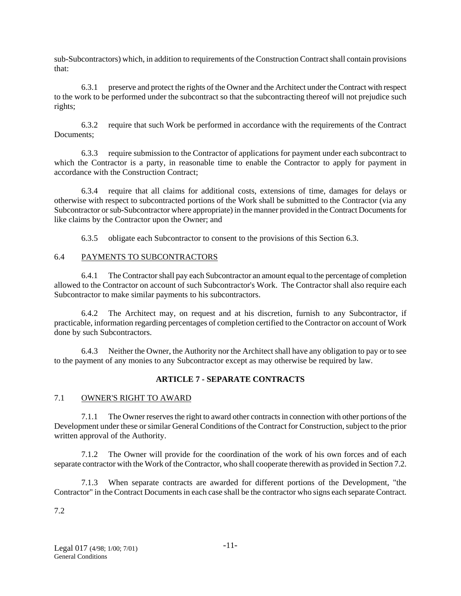sub-Subcontractors) which, in addition to requirements of the Construction Contract shall contain provisions that:

6.3.1 preserve and protect the rights of the Owner and the Architect under the Contract with respect to the work to be performed under the subcontract so that the subcontracting thereof will not prejudice such rights;

6.3.2 require that such Work be performed in accordance with the requirements of the Contract Documents;

6.3.3 require submission to the Contractor of applications for payment under each subcontract to which the Contractor is a party, in reasonable time to enable the Contractor to apply for payment in accordance with the Construction Contract:

6.3.4 require that all claims for additional costs, extensions of time, damages for delays or otherwise with respect to subcontracted portions of the Work shall be submitted to the Contractor (via any Subcontractor or sub-Subcontractor where appropriate) in the manner provided in the Contract Documents for like claims by the Contractor upon the Owner; and

6.3.5 obligate each Subcontractor to consent to the provisions of this Section [6.3.](#page-10-0)

## 6.4 PAYMENTS TO SUBCONTRACTORS

6.4.1 The Contractor shall pay each Subcontractor an amount equal to the percentage of completion allowed to the Contractor on account of such Subcontractor's Work. The Contractor shall also require each Subcontractor to make similar payments to his subcontractors.

6.4.2 The Architect may, on request and at his discretion, furnish to any Subcontractor, if practicable, information regarding percentages of completion certified to the Contractor on account of Work done by such Subcontractors.

6.4.3 Neither the Owner, the Authority nor the Architect shall have any obligation to pay or to see to the payment of any monies to any Subcontractor except as may otherwise be required by law.

# **ARTICLE 7 - SEPARATE CONTRACTS**

### 7.1 OWNER'S RIGHT TO AWARD

7.1.1 The Owner reserves the right to award other contracts in connection with other portions of the Development under these or similar General Conditions of the Contract for Construction, subject to the prior written approval of the Authority.

7.1.2 The Owner will provide for the coordination of the work of his own forces and of each separate contractor with the Work of the Contractor, who shall cooperate therewith as provided in Section [7.2.](#page-12-0)

7.1.3 When separate contracts are awarded for different portions of the Development, "the Contractor" in the Contract Documents in each case shall be the contractor who signs each separate Contract.

<span id="page-12-0"></span>7.2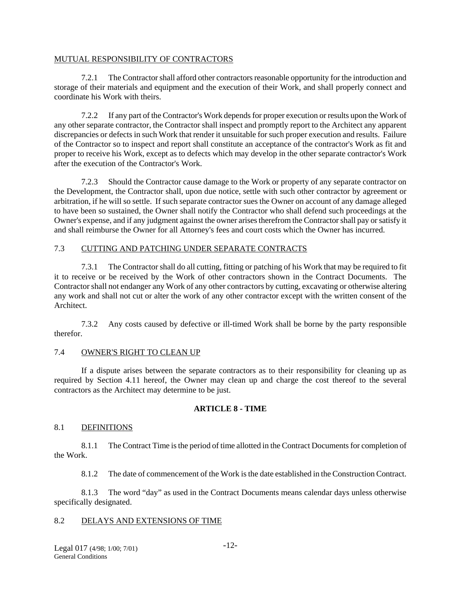### MUTUAL RESPONSIBILITY OF CONTRACTORS

7.2.1 The Contractor shall afford other contractors reasonable opportunity for the introduction and storage of their materials and equipment and the execution of their Work, and shall properly connect and coordinate his Work with theirs.

7.2.2 If any part of the Contractor's Work depends for proper execution or results upon the Work of any other separate contractor, the Contractor shall inspect and promptly report to the Architect any apparent discrepancies or defects in such Work that render it unsuitable for such proper execution and results. Failure of the Contractor so to inspect and report shall constitute an acceptance of the contractor's Work as fit and proper to receive his Work, except as to defects which may develop in the other separate contractor's Work after the execution of the Contractor's Work.

7.2.3 Should the Contractor cause damage to the Work or property of any separate contractor on the Development, the Contractor shall, upon due notice, settle with such other contractor by agreement or arbitration, if he will so settle. If such separate contractor sues the Owner on account of any damage alleged to have been so sustained, the Owner shall notify the Contractor who shall defend such proceedings at the Owner's expense, and if any judgment against the owner arises therefrom the Contractor shall pay or satisfy it and shall reimburse the Owner for all Attorney's fees and court costs which the Owner has incurred.

### 7.3 CUTTING AND PATCHING UNDER SEPARATE CONTRACTS

7.3.1 The Contractor shall do all cutting, fitting or patching of his Work that may be required to fit it to receive or be received by the Work of other contractors shown in the Contract Documents. The Contractor shall not endanger any Work of any other contractors by cutting, excavating or otherwise altering any work and shall not cut or alter the work of any other contractor except with the written consent of the Architect.

7.3.2 Any costs caused by defective or ill-timed Work shall be borne by the party responsible therefor.

### <span id="page-13-0"></span>7.4 OWNER'S RIGHT TO CLEAN UP

If a dispute arises between the separate contractors as to their responsibility for cleaning up as required by Section [4.11](#page-9-0) hereof, the Owner may clean up and charge the cost thereof to the several contractors as the Architect may determine to be just.

### **ARTICLE 8 - TIME**

### 8.1 DEFINITIONS

8.1.1 The Contract Time is the period of time allotted in the Contract Documents for completion of the Work.

8.1.2 The date of commencement of the Work is the date established in the Construction Contract.

8.1.3 The word "day" as used in the Contract Documents means calendar days unless otherwise specifically designated.

#### 8.2 DELAYS AND EXTENSIONS OF TIME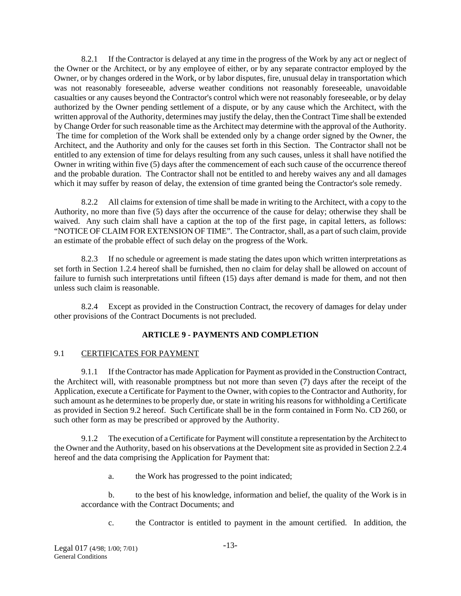8.2.1 If the Contractor is delayed at any time in the progress of the Work by any act or neglect of the Owner or the Architect, or by any employee of either, or by any separate contractor employed by the Owner, or by changes ordered in the Work, or by labor disputes, fire, unusual delay in transportation which was not reasonably foreseeable, adverse weather conditions not reasonably foreseeable, unavoidable casualties or any causes beyond the Contractor's control which were not reasonably foreseeable, or by delay authorized by the Owner pending settlement of a dispute, or by any cause which the Architect, with the written approval of the Authority, determines may justify the delay, then the Contract Time shall be extended by Change Order for such reasonable time as the Architect may determine with the approval of the Authority. The time for completion of the Work shall be extended only by a change order signed by the Owner, the Architect, and the Authority and only for the causes set forth in this Section. The Contractor shall not be entitled to any extension of time for delays resulting from any such causes, unless it shall have notified the Owner in writing within five (5) days after the commencement of each such cause of the occurrence thereof and the probable duration. The Contractor shall not be entitled to and hereby waives any and all damages which it may suffer by reason of delay, the extension of time granted being the Contractor's sole remedy.

<span id="page-14-2"></span>8.2.2 All claims for extension of time shall be made in writing to the Architect, with a copy to the Authority, no more than five (5) days after the occurrence of the cause for delay; otherwise they shall be waived. Any such claim shall have a caption at the top of the first page, in capital letters, as follows: "NOTICE OF CLAIM FOR EXTENSION OF TIME". The Contractor, shall, as a part of such claim, provide an estimate of the probable effect of such delay on the progress of the Work.

8.2.3 If no schedule or agreement is made stating the dates upon which written interpretations as set forth in Section [1.2.4](#page-3-0) hereof shall be furnished, then no claim for delay shall be allowed on account of failure to furnish such interpretations until fifteen (15) days after demand is made for them, and not then unless such claim is reasonable.

8.2.4 Except as provided in the Construction Contract, the recovery of damages for delay under other provisions of the Contract Documents is not precluded.

# <span id="page-14-1"></span>**ARTICLE 9 - PAYMENTS AND COMPLETION**

# 9.1 CERTIFICATES FOR PAYMENT

9.1.1 If the Contractor has made Application for Payment as provided in the Construction Contract, the Architect will, with reasonable promptness but not more than seven (7) days after the receipt of the Application, execute a Certificate for Payment to the Owner, with copies to the Contractor and Authority, for such amount as he determines to be properly due, or state in writing his reasons for withholding a Certificate as provided in Section [9.2](#page-15-1) hereof. Such Certificate shall be in the form contained in Form No. CD 260, or such other form as may be prescribed or approved by the Authority.

9.1.2 The execution of a Certificate for Payment will constitute a representation by the Architect to the Owner and the Authority, based on his observations at the Development site as provided in Section [2.2.4](#page-4-2)  hereof and the data comprising the Application for Payment that:

<span id="page-14-0"></span>a. the Work has progressed to the point indicated;

b. to the best of his knowledge, information and belief, the quality of the Work is in accordance with the Contract Documents; and

c. the Contractor is entitled to payment in the amount certified. In addition, the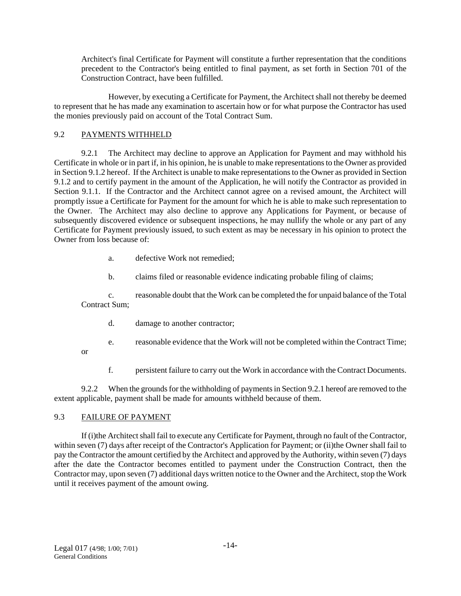Architect's final Certificate for Payment will constitute a further representation that the conditions precedent to the Contractor's being entitled to final payment, as set forth in Section 701 of the Construction Contract, have been fulfilled.

However, by executing a Certificate for Payment, the Architect shall not thereby be deemed to represent that he has made any examination to ascertain how or for what purpose the Contractor has used the monies previously paid on account of the Total Contract Sum.

# <span id="page-15-1"></span>9.2 PAYMENTS WITHHELD

<span id="page-15-2"></span>9.2.1 The Architect may decline to approve an Application for Payment and may withhold his Certificate in whole or in part if, in his opinion, he is unable to make representations to the Owner as provided in Section [9.1.2](#page-14-0) hereof. If the Architect is unable to make representations to the Owner as provided in Section [9.1.2](#page-14-0) and to certify payment in the amount of the Application, he will notify the Contractor as provided in Section [9.1.1.](#page-14-1) If the Contractor and the Architect cannot agree on a revised amount, the Architect will promptly issue a Certificate for Payment for the amount for which he is able to make such representation to the Owner. The Architect may also decline to approve any Applications for Payment, or because of subsequently discovered evidence or subsequent inspections, he may nullify the whole or any part of any Certificate for Payment previously issued, to such extent as may be necessary in his opinion to protect the Owner from loss because of:

a. defective Work not remedied;

b. claims filed or reasonable evidence indicating probable filing of claims;

c. reasonable doubt that the Work can be completed the for unpaid balance of the Total Contract Sum;

- d. damage to another contractor;
- e. reasonable evidence that the Work will not be completed within the Contract Time;
- or
- <span id="page-15-0"></span>f. persistent failure to carry out the Work in accordance with the Contract Documents.

9.2.2 When the grounds for the withholding of payments in Section [9.2.1 h](#page-15-2)ereof are removed to the extent applicable, payment shall be made for amounts withheld because of them.

### 9.3 FAILURE OF PAYMENT

If (i)the Architect shall fail to execute any Certificate for Payment, through no fault of the Contractor, within seven (7) days after receipt of the Contractor's Application for Payment; or (ii)the Owner shall fail to pay the Contractor the amount certified by the Architect and approved by the Authority, within seven (7) days after the date the Contractor becomes entitled to payment under the Construction Contract, then the Contractor may, upon seven (7) additional days written notice to the Owner and the Architect, stop the Work until it receives payment of the amount owing.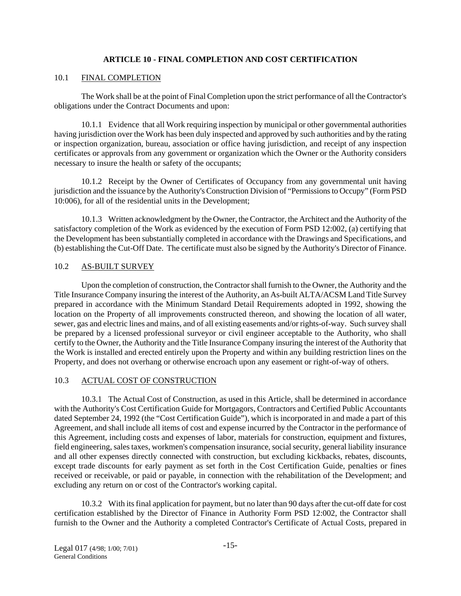# **ARTICLE 10 - FINAL COMPLETION AND COST CERTIFICATION**

#### 10.1 FINAL COMPLETION

The Work shall be at the point of Final Completion upon the strict performance of all the Contractor's obligations under the Contract Documents and upon:

10.1.1 Evidence that all Work requiring inspection by municipal or other governmental authorities having jurisdiction over the Work has been duly inspected and approved by such authorities and by the rating or inspection organization, bureau, association or office having jurisdiction, and receipt of any inspection certificates or approvals from any government or organization which the Owner or the Authority considers necessary to insure the health or safety of the occupants;

10.1.2 Receipt by the Owner of Certificates of Occupancy from any governmental unit having jurisdiction and the issuance by the Authority's Construction Division of "Permissions to Occupy" (Form PSD 10:006), for all of the residential units in the Development;

10.1.3 Written acknowledgment by the Owner, the Contractor, the Architect and the Authority of the satisfactory completion of the Work as evidenced by the execution of Form PSD 12:002, (a) certifying that the Development has been substantially completed in accordance with the Drawings and Specifications, and (b) establishing the Cut-Off Date. The certificate must also be signed by the Authority's Director of Finance.

## 10.2 AS-BUILT SURVEY

Upon the completion of construction, the Contractor shall furnish to the Owner, the Authority and the Title Insurance Company insuring the interest of the Authority, an As-built ALTA/ACSM Land Title Survey prepared in accordance with the Minimum Standard Detail Requirements adopted in 1992, showing the location on the Property of all improvements constructed thereon, and showing the location of all water, sewer, gas and electric lines and mains, and of all existing easements and/or rights-of-way. Such survey shall be prepared by a licensed professional surveyor or civil engineer acceptable to the Authority, who shall certify to the Owner, the Authority and the Title Insurance Company insuring the interest of the Authority that the Work is installed and erected entirely upon the Property and within any building restriction lines on the Property, and does not overhang or otherwise encroach upon any easement or right-of-way of others.

### 10.3 ACTUAL COST OF CONSTRUCTION

10.3.1 The Actual Cost of Construction, as used in this Article, shall be determined in accordance with the Authority's Cost Certification Guide for Mortgagors, Contractors and Certified Public Accountants dated September 24, 1992 (the "Cost Certification Guide"), which is incorporated in and made a part of this Agreement, and shall include all items of cost and expense incurred by the Contractor in the performance of this Agreement, including costs and expenses of labor, materials for construction, equipment and fixtures, field engineering, sales taxes, workmen's compensation insurance, social security, general liability insurance and all other expenses directly connected with construction, but excluding kickbacks, rebates, discounts, except trade discounts for early payment as set forth in the Cost Certification Guide, penalties or fines received or receivable, or paid or payable, in connection with the rehabilitation of the Development; and excluding any return on or cost of the Contractor's working capital.

10.3.2 With its final application for payment, but no later than 90 days after the cut-off date for cost certification established by the Director of Finance in Authority Form PSD 12:002, the Contractor shall furnish to the Owner and the Authority a completed Contractor's Certificate of Actual Costs, prepared in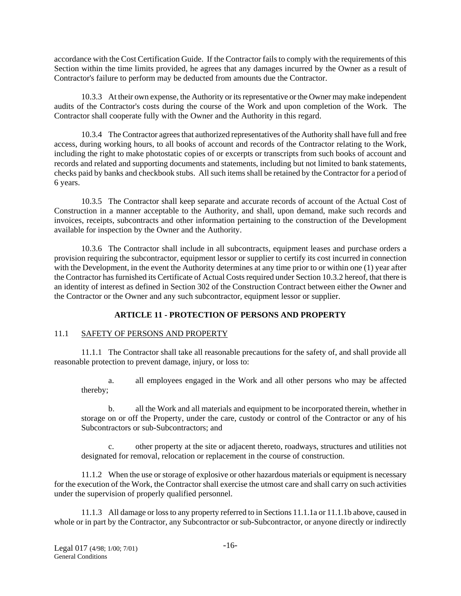accordance with the Cost Certification Guide. If the Contractor fails to comply with the requirements of this Section within the time limits provided, he agrees that any damages incurred by the Owner as a result of Contractor's failure to perform may be deducted from amounts due the Contractor.

10.3.3 At their own expense, the Authority or its representative or the Owner may make independent audits of the Contractor's costs during the course of the Work and upon completion of the Work. The Contractor shall cooperate fully with the Owner and the Authority in this regard.

10.3.4 The Contractor agrees that authorized representatives of the Authority shall have full and free access, during working hours, to all books of account and records of the Contractor relating to the Work, including the right to make photostatic copies of or excerpts or transcripts from such books of account and records and related and supporting documents and statements, including but not limited to bank statements, checks paid by banks and checkbook stubs. All such items shall be retained by the Contractor for a period of 6 years.

10.3.5 The Contractor shall keep separate and accurate records of account of the Actual Cost of Construction in a manner acceptable to the Authority, and shall, upon demand, make such records and invoices, receipts, subcontracts and other information pertaining to the construction of the Development available for inspection by the Owner and the Authority.

10.3.6 The Contractor shall include in all subcontracts, equipment leases and purchase orders a provision requiring the subcontractor, equipment lessor or supplier to certify its cost incurred in connection with the Development, in the event the Authority determines at any time prior to or within one (1) year after the Contractor has furnished its Certificate of Actual Costs required under Section 10.3.2 hereof, that there is an identity of interest as defined in Section 302 of the Construction Contract between either the Owner and the Contractor or the Owner and any such subcontractor, equipment lessor or supplier.

# **ARTICLE 11 - PROTECTION OF PERSONS AND PROPERTY**

# 11.1 SAFETY OF PERSONS AND PROPERTY

11.1.1 The Contractor shall take all reasonable precautions for the safety of, and shall provide all reasonable protection to prevent damage, injury, or loss to:

<span id="page-17-0"></span>a. all employees engaged in the Work and all other persons who may be affected thereby;

<span id="page-17-1"></span>b. all the Work and all materials and equipment to be incorporated therein, whether in storage on or off the Property, under the care, custody or control of the Contractor or any of his Subcontractors or sub-Subcontractors; and

c. other property at the site or adjacent thereto, roadways, structures and utilities not designated for removal, relocation or replacement in the course of construction.

11.1.2 When the use or storage of explosive or other hazardous materials or equipment is necessary for the execution of the Work, the Contractor shall exercise the utmost care and shall carry on such activities under the supervision of properly qualified personnel.

11.1.3 All damage or loss to any property referred to in Sections [11.1.1a o](#page-17-0)r [11.1.1b a](#page-17-1)bove, caused in whole or in part by the Contractor, any Subcontractor or sub-Subcontractor, or anyone directly or indirectly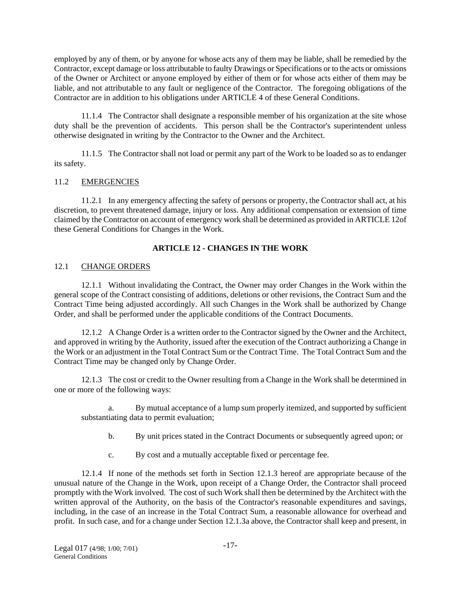employed by any of them, or by anyone for whose acts any of them may be liable, shall be remedied by the Contractor, except damage or loss attributable to faulty Drawings or Specifications or to the acts or omissions of the Owner or Architect or anyone employed by either of them or for whose acts either of them may be liable, and not attributable to any fault or negligence of the Contractor. The foregoing obligations of the Contractor are in addition to his obligations under [ARTICLE 4](#page-6-0) of these General Conditions.

11.1.4 The Contractor shall designate a responsible member of his organization at the site whose duty shall be the prevention of accidents. This person shall be the Contractor's superintendent unless otherwise designated in writing by the Contractor to the Owner and the Architect.

11.1.5 The Contractor shall not load or permit any part of the Work to be loaded so as to endanger its safety.

## 11.2 EMERGENCIES

<span id="page-18-3"></span>11.2.1 In any emergency affecting the safety of persons or property, the Contractor shall act, at his discretion, to prevent threatened damage, injury or loss. Any additional compensation or extension of time claimed by the Contractor on account of emergency work shall be determined as provided in [ARTICLE 12o](#page-18-0)f these General Conditions for Changes in the Work.

# <span id="page-18-0"></span>**ARTICLE 12 - CHANGES IN THE WORK**

# 12.1 CHANGE ORDERS

12.1.1 Without invalidating the Contract, the Owner may order Changes in the Work within the general scope of the Contract consisting of additions, deletions or other revisions, the Contract Sum and the Contract Time being adjusted accordingly. All such Changes in the Work shall be authorized by Change Order, and shall be performed under the applicable conditions of the Contract Documents.

12.1.2 A Change Order is a written order to the Contractor signed by the Owner and the Architect, and approved in writing by the Authority, issued after the execution of the Contract authorizing a Change in the Work or an adjustment in the Total Contract Sum or the Contract Time. The Total Contract Sum and the Contract Time may be changed only by Change Order.

12.1.3 The cost or credit to the Owner resulting from a Change in the Work shall be determined in one or more of the following ways:

<span id="page-18-1"></span>a. By mutual acceptance of a lump sum properly itemized, and supported by sufficient substantiating data to permit evaluation;

- <span id="page-18-2"></span>b. By unit prices stated in the Contract Documents or subsequently agreed upon; or
- c. By cost and a mutually acceptable fixed or percentage fee.

12.1.4 If none of the methods set forth in Section [12.1.3](#page-18-1) hereof are appropriate because of the unusual nature of the Change in the Work, upon receipt of a Change Order, the Contractor shall proceed promptly with the Work involved. The cost of such Work shall then be determined by the Architect with the written approval of the Authority, on the basis of the Contractor's reasonable expenditures and savings, including, in the case of an increase in the Total Contract Sum, a reasonable allowance for overhead and profit. In such case, and for a change under Section [12.1.3a](#page-18-2) above, the Contractor shall keep and present, in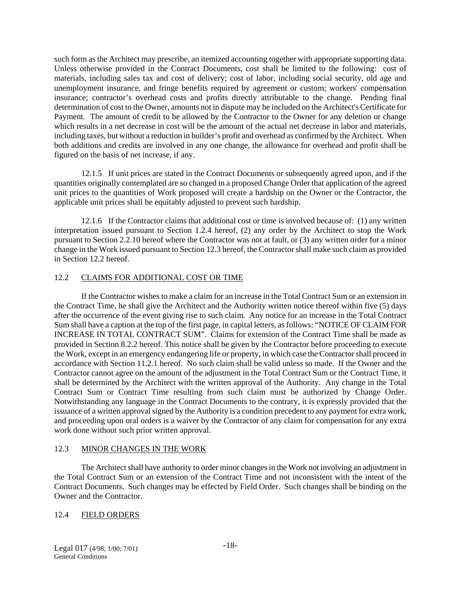such form as the Architect may prescribe, an itemized accounting together with appropriate supporting data. Unless otherwise provided in the Contract Documents, cost shall be limited to the following: cost of materials, including sales tax and cost of delivery; cost of labor, including social security, old age and unemployment insurance, and fringe benefits required by agreement or custom; workers' compensation insurance; contractor's overhead costs and profits directly attributable to the change. Pending final determination of cost to the Owner, amounts not in dispute may be included on the Architect's Certificate for Payment. The amount of credit to be allowed by the Contractor to the Owner for any deletion or change which results in a net decrease in cost will be the amount of the actual net decrease in labor and materials, including taxes, but without a reduction in builder's profit and overhead as confirmed by the Architect. When both additions and credits are involved in any one change, the allowance for overhead and profit shall be figured on the basis of net increase, if any.

12.1.5 If unit prices are stated in the Contract Documents or subsequently agreed upon, and if the quantities originally contemplated are so changed in a proposed Change Order that application of the agreed unit prices to the quantities of Work proposed will create a hardship on the Owner or the Contractor, the applicable unit prices shall be equitably adjusted to prevent such hardship.

12.1.6 If the Contractor claims that additional cost or time is involved because of: (1) any written interpretation issued pursuant to Section [1.2.4](#page-3-0) hereof, (2) any order by the Architect to stop the Work pursuant to Section [2.2.10](#page-4-1) hereof where the Contractor was not at fault, or (3) any written order for a minor change in the Work issued pursuant to Section [12.3](#page-19-0) hereof, the Contractor shall make such claim as provided in Section [12.2](#page-19-1) hereof.

## <span id="page-19-1"></span>12.2 CLAIMS FOR ADDITIONAL COST OR TIME

If the Contractor wishes to make a claim for an increase in the Total Contract Sum or an extension in the Contract Time, he shall give the Architect and the Authority written notice thereof within five (5) days after the occurrence of the event giving rise to such claim. Any notice for an increase in the Total Contract Sum shall have a caption at the top of the first page, in capital letters, as follows: "NOTICE OF CLAIM FOR INCREASE IN TOTAL CONTRACT SUM". Claims for extension of the Contract Time shall be made as provided in Section [8.2.2](#page-14-2) hereof. This notice shall be given by the Contractor before proceeding to execute the Work, except in an emergency endangering life or property, in which case the Contractor shall proceed in accordance with Section [11.2.1](#page-18-3) hereof. No such claim shall be valid unless so made. If the Owner and the Contractor cannot agree on the amount of the adjustment in the Total Contract Sum or the Contract Time, it shall be determined by the Architect with the written approval of the Authority. Any change in the Total Contract Sum or Contract Time resulting from such claim must be authorized by Change Order. Notwithstanding any language in the Contract Documents to the contrary, it is expressly provided that the issuance of a written approval signed by the Authority is a condition precedent to any payment for extra work, and proceeding upon oral orders is a waiver by the Contractor of any claim for compensation for any extra work done without such prior written approval.

### <span id="page-19-0"></span>12.3 MINOR CHANGES IN THE WORK

The Architect shall have authority to order minor changes in the Work not involving an adjustment in the Total Contract Sum or an extension of the Contract Time and not inconsistent with the intent of the Contract Documents. Such changes may be effected by Field Order. Such changes shall be binding on the Owner and the Contractor.

### 12.4 FIELD ORDERS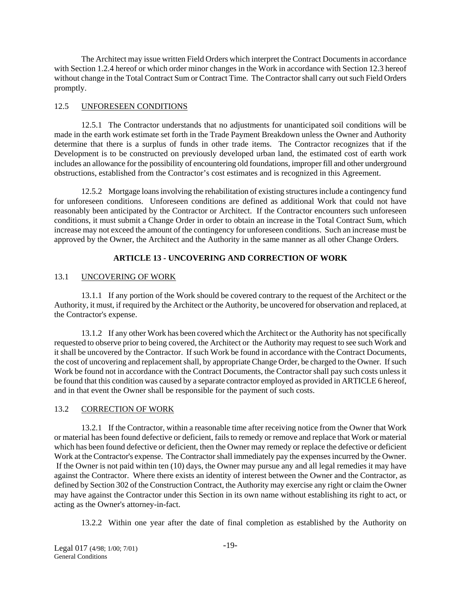The Architect may issue written Field Orders which interpret the Contract Documents in accordance with Section [1.2.4](#page-3-0) hereof or which order minor changes in the Work in accordance with Section [12.3](#page-19-0) hereof without change in the Total Contract Sum or Contract Time. The Contractor shall carry out such Field Orders promptly.

# 12.5 UNFORESEEN CONDITIONS

12.5.1 The Contractor understands that no adjustments for unanticipated soil conditions will be made in the earth work estimate set forth in the Trade Payment Breakdown unless the Owner and Authority determine that there is a surplus of funds in other trade items. The Contractor recognizes that if the Development is to be constructed on previously developed urban land, the estimated cost of earth work includes an allowance for the possibility of encountering old foundations, improper fill and other underground obstructions, established from the Contractor's cost estimates and is recognized in this Agreement.

12.5.2 Mortgage loans involving the rehabilitation of existing structures include a contingency fund for unforeseen conditions. Unforeseen conditions are defined as additional Work that could not have reasonably been anticipated by the Contractor or Architect. If the Contractor encounters such unforeseen conditions, it must submit a Change Order in order to obtain an increase in the Total Contract Sum, which increase may not exceed the amount of the contingency for unforeseen conditions. Such an increase must be approved by the Owner, the Architect and the Authority in the same manner as all other Change Orders.

# <span id="page-20-3"></span>**ARTICLE 13 - UNCOVERING AND CORRECTION OF WORK**

# 13.1 UNCOVERING OF WORK

13.1.1 If any portion of the Work should be covered contrary to the request of the Architect or the Authority, it must, if required by the Architect or the Authority, be uncovered for observation and replaced, at the Contractor's expense.

<span id="page-20-0"></span>13.1.2 If any other Work has been covered which the Architect or the Authority has not specifically requested to observe prior to being covered, the Architect or the Authority may request to see such Work and it shall be uncovered by the Contractor. If such Work be found in accordance with the Contract Documents, the cost of uncovering and replacement shall, by appropriate Change Order, be charged to the Owner. If such Work be found not in accordance with the Contract Documents, the Contractor shall pay such costs unless it be found that this condition was caused by a separate contractor employed as provided in [ARTICLE 6 h](#page-10-1)ereof, and in that event the Owner shall be responsible for the payment of such costs.

# 13.2 CORRECTION OF WORK

<span id="page-20-1"></span>13.2.1 If the Contractor, within a reasonable time after receiving notice from the Owner that Work or material has been found defective or deficient, fails to remedy or remove and replace that Work or material which has been found defective or deficient, then the Owner may remedy or replace the defective or deficient Work at the Contractor's expense. The Contractor shall immediately pay the expenses incurred by the Owner. If the Owner is not paid within ten (10) days, the Owner may pursue any and all legal remedies it may have against the Contractor. Where there exists an identity of interest between the Owner and the Contractor, as defined by Section 302 of the Construction Contract, the Authority may exercise any right or claim the Owner may have against the Contractor under this Section in its own name without establishing its right to act, or acting as the Owner's attorney-in-fact.

<span id="page-20-2"></span>13.2.2 Within one year after the date of final completion as established by the Authority on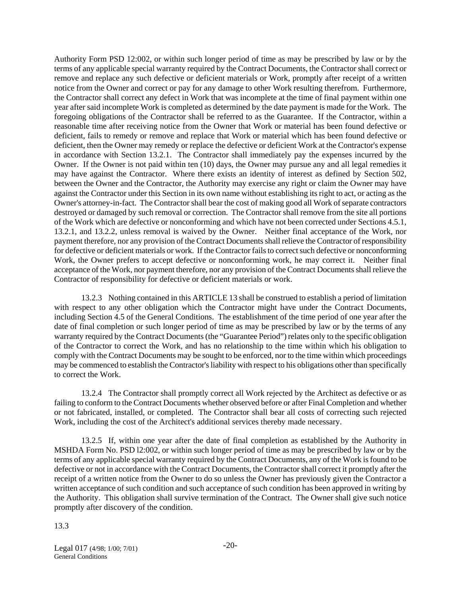Authority Form PSD 12:002, or within such longer period of time as may be prescribed by law or by the terms of any applicable special warranty required by the Contract Documents, the Contractor shall correct or remove and replace any such defective or deficient materials or Work, promptly after receipt of a written notice from the Owner and correct or pay for any damage to other Work resulting therefrom. Furthermore, the Contractor shall correct any defect in Work that was incomplete at the time of final payment within one year after said incomplete Work is completed as determined by the date payment is made for the Work. The foregoing obligations of the Contractor shall be referred to as the Guarantee. If the Contractor, within a reasonable time after receiving notice from the Owner that Work or material has been found defective or deficient, fails to remedy or remove and replace that Work or material which has been found defective or deficient, then the Owner may remedy or replace the defective or deficient Work at the Contractor's expense in accordance with Section [13.2.1.](#page-20-1) The Contractor shall immediately pay the expenses incurred by the Owner. If the Owner is not paid within ten (10) days, the Owner may pursue any and all legal remedies it may have against the Contractor. Where there exists an identity of interest as defined by Section 502, between the Owner and the Contractor, the Authority may exercise any right or claim the Owner may have against the Contractor under this Section in its own name without establishing its right to act, or acting as the Owner's attorney-in-fact. The Contractor shall bear the cost of making good all Work of separate contractors destroyed or damaged by such removal or correction. The Contractor shall remove from the site all portions of the Work which are defective or nonconforming and which have not been corrected under Sections [4.5.1,](#page-7-1) [13.2.1,](#page-20-1) and [13.2.2,](#page-20-2) unless removal is waived by the Owner. Neither final acceptance of the Work, nor payment therefore, nor any provision of the Contract Documents shall relieve the Contractor of responsibility for defective or deficient materials or work. If the Contractor fails to correct such defective or nonconforming Work, the Owner prefers to accept defective or nonconforming work, he may correct it. Neither final acceptance of the Work, nor payment therefore, nor any provision of the Contract Documents shall relieve the Contractor of responsibility for defective or deficient materials or work.

13.2.3 Nothing contained in this [ARTICLE 13](#page-20-3) shall be construed to establish a period of limitation with respect to any other obligation which the Contractor might have under the Contract Documents, including Section [4.5](#page-7-0) of the General Conditions. The establishment of the time period of one year after the date of final completion or such longer period of time as may be prescribed by law or by the terms of any warranty required by the Contract Documents (the "Guarantee Period") relates only to the specific obligation of the Contractor to correct the Work, and has no relationship to the time within which his obligation to comply with the Contract Documents may be sought to be enforced, nor to the time within which proceedings may be commenced to establish the Contractor's liability with respect to his obligations other than specifically to correct the Work.

13.2.4 The Contractor shall promptly correct all Work rejected by the Architect as defective or as failing to conform to the Contract Documents whether observed before or after Final Completion and whether or not fabricated, installed, or completed. The Contractor shall bear all costs of correcting such rejected Work, including the cost of the Architect's additional services thereby made necessary.

13.2.5 If, within one year after the date of final completion as established by the Authority in MSHDA Form No. PSD l2:002, or within such longer period of time as may be prescribed by law or by the terms of any applicable special warranty required by the Contract Documents, any of the Work is found to be defective or not in accordance with the Contract Documents, the Contractor shall correct it promptly after the receipt of a written notice from the Owner to do so unless the Owner has previously given the Contractor a written acceptance of such condition and such acceptance of such condition has been approved in writing by the Authority. This obligation shall survive termination of the Contract. The Owner shall give such notice promptly after discovery of the condition.

13.3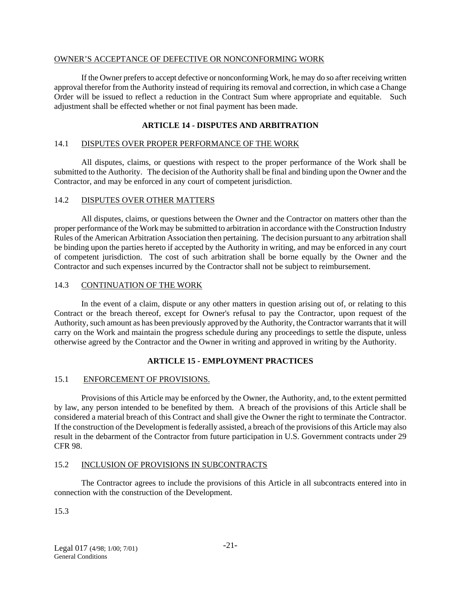### OWNER'S ACCEPTANCE OF DEFECTIVE OR NONCONFORMING WORK

If the Owner prefers to accept defective or nonconforming Work, he may do so after receiving written approval therefor from the Authority instead of requiring its removal and correction, in which case a Change Order will be issued to reflect a reduction in the Contract Sum where appropriate and equitable. Such adjustment shall be effected whether or not final payment has been made.

### **ARTICLE 14 - DISPUTES AND ARBITRATION**

### 14.1 DISPUTES OVER PROPER PERFORMANCE OF THE WORK

All disputes, claims, or questions with respect to the proper performance of the Work shall be submitted to the Authority. The decision of the Authority shall be final and binding upon the Owner and the Contractor, and may be enforced in any court of competent jurisdiction.

### 14.2 DISPUTES OVER OTHER MATTERS

All disputes, claims, or questions between the Owner and the Contractor on matters other than the proper performance of the Work may be submitted to arbitration in accordance with the Construction Industry Rules of the American Arbitration Association then pertaining. The decision pursuant to any arbitration shall be binding upon the parties hereto if accepted by the Authority in writing, and may be enforced in any court of competent jurisdiction. The cost of such arbitration shall be borne equally by the Owner and the Contractor and such expenses incurred by the Contractor shall not be subject to reimbursement.

### 14.3 CONTINUATION OF THE WORK

In the event of a claim, dispute or any other matters in question arising out of, or relating to this Contract or the breach thereof, except for Owner's refusal to pay the Contractor, upon request of the Authority, such amount as has been previously approved by the Authority, the Contractor warrants that it will carry on the Work and maintain the progress schedule during any proceedings to settle the dispute, unless otherwise agreed by the Contractor and the Owner in writing and approved in writing by the Authority.

### **ARTICLE 15 - EMPLOYMENT PRACTICES**

### 15.1 ENFORCEMENT OF PROVISIONS.

Provisions of this Article may be enforced by the Owner, the Authority, and, to the extent permitted by law, any person intended to be benefited by them. A breach of the provisions of this Article shall be considered a material breach of this Contract and shall give the Owner the right to terminate the Contractor. If the construction of the Development is federally assisted, a breach of the provisions of this Article may also result in the debarment of the Contractor from future participation in U.S. Government contracts under 29 CFR 98.

### 15.2 INCLUSION OF PROVISIONS IN SUBCONTRACTS

The Contractor agrees to include the provisions of this Article in all subcontracts entered into in connection with the construction of the Development.

15.3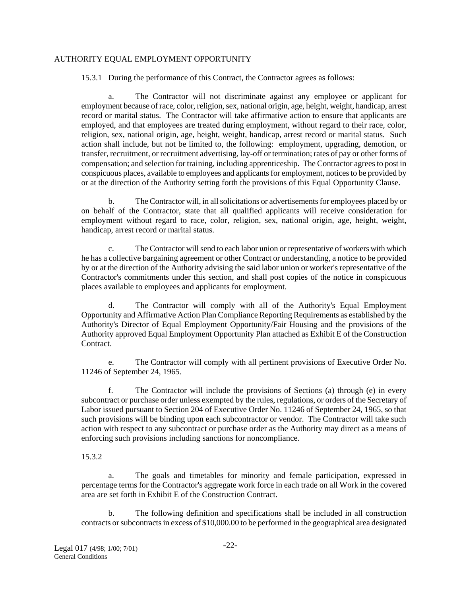### AUTHORITY EQUAL EMPLOYMENT OPPORTUNITY

<span id="page-23-2"></span>15.3.1 During the performance of this Contract, the Contractor agrees as follows:

a. The Contractor will not discriminate against any employee or applicant for employment because of race, color, religion, sex, national origin, age, height, weight, handicap, arrest record or marital status. The Contractor will take affirmative action to ensure that applicants are employed, and that employees are treated during employment, without regard to their race, color, religion, sex, national origin, age, height, weight, handicap, arrest record or marital status. Such action shall include, but not be limited to, the following: employment, upgrading, demotion, or transfer, recruitment, or recruitment advertising, lay-off or termination; rates of pay or other forms of compensation; and selection for training, including apprenticeship. The Contractor agrees to post in conspicuous places, available to employees and applicants for employment, notices to be provided by or at the direction of the Authority setting forth the provisions of this Equal Opportunity Clause.

b. The Contractor will, in all solicitations or advertisements for employees placed by or on behalf of the Contractor, state that all qualified applicants will receive consideration for employment without regard to race, color, religion, sex, national origin, age, height, weight, handicap, arrest record or marital status.

c. The Contractor will send to each labor union or representative of workers with which he has a collective bargaining agreement or other Contract or understanding, a notice to be provided by or at the direction of the Authority advising the said labor union or worker's representative of the Contractor's commitments under this section, and shall post copies of the notice in conspicuous places available to employees and applicants for employment.

d. The Contractor will comply with all of the Authority's Equal Employment Opportunity and Affirmative Action Plan Compliance Reporting Requirements as established by the Authority's Director of Equal Employment Opportunity/Fair Housing and the provisions of the Authority approved Equal Employment Opportunity Plan attached as Exhibit E of the Construction Contract.

e. The Contractor will comply with all pertinent provisions of Executive Order No. 11246 of September 24, 1965.

f. The Contractor will include the provisions of Sections (a) through (e) in every subcontract or purchase order unless exempted by the rules, regulations, or orders of the Secretary of Labor issued pursuant to Section 204 of Executive Order No. 11246 of September 24, 1965, so that such provisions will be binding upon each subcontractor or vendor. The Contractor will take such action with respect to any subcontract or purchase order as the Authority may direct as a means of enforcing such provisions including sanctions for noncompliance.

#### <span id="page-23-0"></span>15.3.2

a. The goals and timetables for minority and female participation, expressed in percentage terms for the Contractor's aggregate work force in each trade on all Work in the covered area are set forth in Exhibit E of the Construction Contract.

<span id="page-23-1"></span>b. The following definition and specifications shall be included in all construction contracts or subcontracts in excess of \$10,000.00 to be performed in the geographical area designated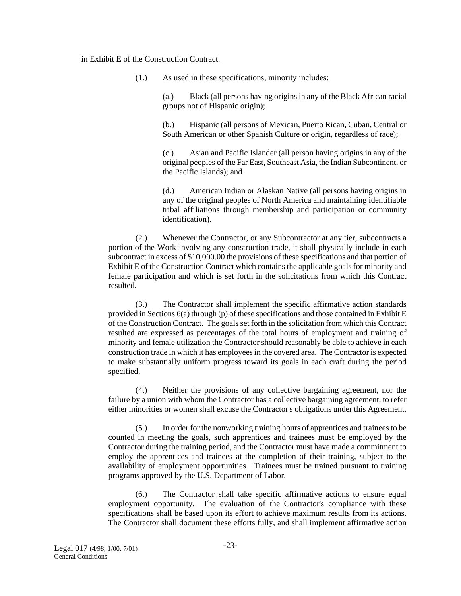in Exhibit E of the Construction Contract.

(1.) As used in these specifications, minority includes:

(a.) Black (all persons having origins in any of the Black African racial groups not of Hispanic origin);

(b.) Hispanic (all persons of Mexican, Puerto Rican, Cuban, Central or South American or other Spanish Culture or origin, regardless of race);

(c.) Asian and Pacific Islander (all person having origins in any of the original peoples of the Far East, Southeast Asia, the Indian Subcontinent, or the Pacific Islands); and

(d.) American Indian or Alaskan Native (all persons having origins in any of the original peoples of North America and maintaining identifiable tribal affiliations through membership and participation or community identification).

(2.) Whenever the Contractor, or any Subcontractor at any tier, subcontracts a portion of the Work involving any construction trade, it shall physically include in each subcontract in excess of \$10,000.00 the provisions of these specifications and that portion of Exhibit E of the Construction Contract which contains the applicable goals for minority and female participation and which is set forth in the solicitations from which this Contract resulted.

(3.) The Contractor shall implement the specific affirmative action standards provided in Sections  $6(a)$  through (p) of these specifications and those contained in Exhibit E of the Construction Contract. The goals set forth in the solicitation from which this Contract resulted are expressed as percentages of the total hours of employment and training of minority and female utilization the Contractor should reasonably be able to achieve in each construction trade in which it has employees in the covered area. The Contractor is expected to make substantially uniform progress toward its goals in each craft during the period specified.

(4.) Neither the provisions of any collective bargaining agreement, nor the failure by a union with whom the Contractor has a collective bargaining agreement, to refer either minorities or women shall excuse the Contractor's obligations under this Agreement.

(5.) In order for the nonworking training hours of apprentices and trainees to be counted in meeting the goals, such apprentices and trainees must be employed by the Contractor during the training period, and the Contractor must have made a commitment to employ the apprentices and trainees at the completion of their training, subject to the availability of employment opportunities. Trainees must be trained pursuant to training programs approved by the U.S. Department of Labor.

<span id="page-24-0"></span>(6.) The Contractor shall take specific affirmative actions to ensure equal employment opportunity. The evaluation of the Contractor's compliance with these specifications shall be based upon its effort to achieve maximum results from its actions. The Contractor shall document these efforts fully, and shall implement affirmative action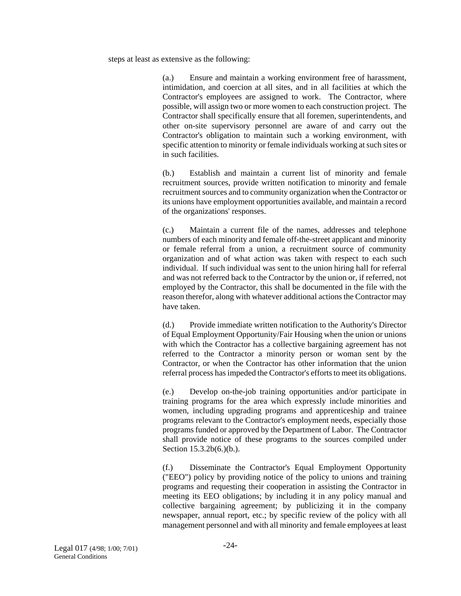steps at least as extensive as the following:

(a.) Ensure and maintain a working environment free of harassment, intimidation, and coercion at all sites, and in all facilities at which the Contractor's employees are assigned to work. The Contractor, where possible, will assign two or more women to each construction project. The Contractor shall specifically ensure that all foremen, superintendents, and other on-site supervisory personnel are aware of and carry out the Contractor's obligation to maintain such a working environment, with specific attention to minority or female individuals working at such sites or in such facilities.

<span id="page-25-0"></span>(b.) Establish and maintain a current list of minority and female recruitment sources, provide written notification to minority and female recruitment sources and to community organization when the Contractor or its unions have employment opportunities available, and maintain a record of the organizations' responses.

(c.) Maintain a current file of the names, addresses and telephone numbers of each minority and female off-the-street applicant and minority or female referral from a union, a recruitment source of community organization and of what action was taken with respect to each such individual. If such individual was sent to the union hiring hall for referral and was not referred back to the Contractor by the union or, if referred, not employed by the Contractor, this shall be documented in the file with the reason therefor, along with whatever additional actions the Contractor may have taken.

(d.) Provide immediate written notification to the Authority's Director of Equal Employment Opportunity/Fair Housing when the union or unions with which the Contractor has a collective bargaining agreement has not referred to the Contractor a minority person or woman sent by the Contractor, or when the Contractor has other information that the union referral process has impeded the Contractor's efforts to meet its obligations.

(e.) Develop on-the-job training opportunities and/or participate in training programs for the area which expressly include minorities and women, including upgrading programs and apprenticeship and trainee programs relevant to the Contractor's employment needs, especially those programs funded or approved by the Department of Labor. The Contractor shall provide notice of these programs to the sources compiled under Section [15.3.2](#page-23-0)[b](#page-23-1)[\(6.\)](#page-24-0)[\(b.\).](#page-25-0)

(f.) Disseminate the Contractor's Equal Employment Opportunity ("EEO") policy by providing notice of the policy to unions and training programs and requesting their cooperation in assisting the Contractor in meeting its EEO obligations; by including it in any policy manual and collective bargaining agreement; by publicizing it in the company newspaper, annual report, etc.; by specific review of the policy with all management personnel and with all minority and female employees at least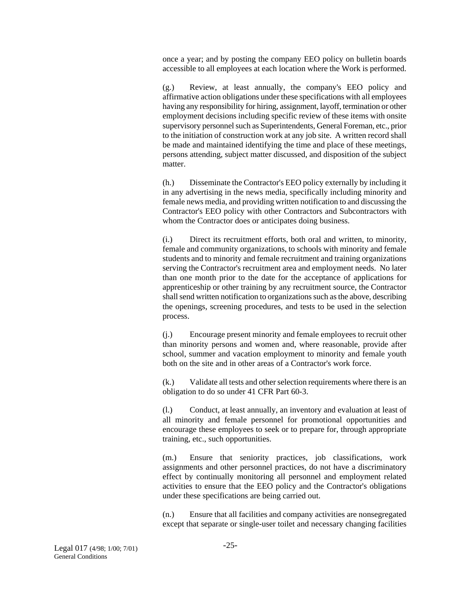once a year; and by posting the company EEO policy on bulletin boards accessible to all employees at each location where the Work is performed.

(g.) Review, at least annually, the company's EEO policy and affirmative action obligations under these specifications with all employees having any responsibility for hiring, assignment, layoff, termination or other employment decisions including specific review of these items with onsite supervisory personnel such as Superintendents, General Foreman, etc., prior to the initiation of construction work at any job site. A written record shall be made and maintained identifying the time and place of these meetings, persons attending, subject matter discussed, and disposition of the subject matter.

(h.) Disseminate the Contractor's EEO policy externally by including it in any advertising in the news media, specifically including minority and female news media, and providing written notification to and discussing the Contractor's EEO policy with other Contractors and Subcontractors with whom the Contractor does or anticipates doing business.

(i.) Direct its recruitment efforts, both oral and written, to minority, female and community organizations, to schools with minority and female students and to minority and female recruitment and training organizations serving the Contractor's recruitment area and employment needs. No later than one month prior to the date for the acceptance of applications for apprenticeship or other training by any recruitment source, the Contractor shall send written notification to organizations such as the above, describing the openings, screening procedures, and tests to be used in the selection process.

(j.) Encourage present minority and female employees to recruit other than minority persons and women and, where reasonable, provide after school, summer and vacation employment to minority and female youth both on the site and in other areas of a Contractor's work force.

(k.) Validate all tests and other selection requirements where there is an obligation to do so under 41 CFR Part 60-3.

(l.) Conduct, at least annually, an inventory and evaluation at least of all minority and female personnel for promotional opportunities and encourage these employees to seek or to prepare for, through appropriate training, etc., such opportunities.

(m.) Ensure that seniority practices, job classifications, work assignments and other personnel practices, do not have a discriminatory effect by continually monitoring all personnel and employment related activities to ensure that the EEO policy and the Contractor's obligations under these specifications are being carried out.

(n.) Ensure that all facilities and company activities are nonsegregated except that separate or single-user toilet and necessary changing facilities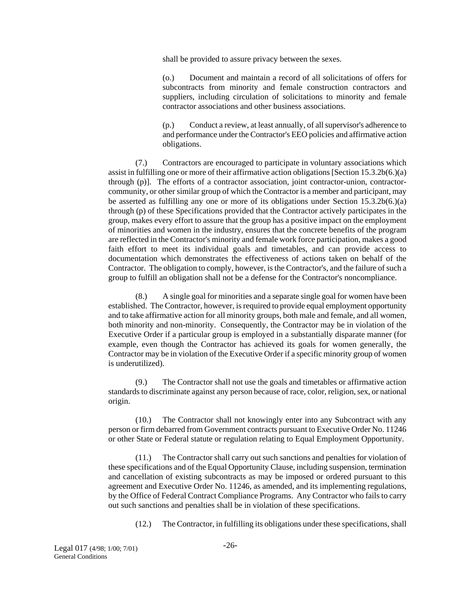shall be provided to assure privacy between the sexes.

(o.) Document and maintain a record of all solicitations of offers for subcontracts from minority and female construction contractors and suppliers, including circulation of solicitations to minority and female contractor associations and other business associations.

(p.) Conduct a review, at least annually, of all supervisor's adherence to and performance under the Contractor's EEO policies and affirmative action obligations.

(7.) Contractors are encouraged to participate in voluntary associations which assist in fulfilling one or more of their affirmative action obligations [Section [15.3.2](#page-23-0)[b](#page-23-1)[\(6.\)\(](#page-24-0)a) through (p)]. The efforts of a contractor association, joint contractor-union, contractorcommunity, or other similar group of which the Contractor is a member and participant, may be asserted as fulfilling any one or more of its obligations under Section [15.3.2](#page-23-0)[b](#page-23-1)[\(6.\)\(](#page-24-0)a) through (p) of these Specifications provided that the Contractor actively participates in the group, makes every effort to assure that the group has a positive impact on the employment of minorities and women in the industry, ensures that the concrete benefits of the program are reflected in the Contractor's minority and female work force participation, makes a good faith effort to meet its individual goals and timetables, and can provide access to documentation which demonstrates the effectiveness of actions taken on behalf of the Contractor. The obligation to comply, however, is the Contractor's, and the failure of such a group to fulfill an obligation shall not be a defense for the Contractor's noncompliance.

(8.) A single goal for minorities and a separate single goal for women have been established. The Contractor, however, is required to provide equal employment opportunity and to take affirmative action for all minority groups, both male and female, and all women, both minority and non-minority. Consequently, the Contractor may be in violation of the Executive Order if a particular group is employed in a substantially disparate manner (for example, even though the Contractor has achieved its goals for women generally, the Contractor may be in violation of the Executive Order if a specific minority group of women is underutilized).

(9.) The Contractor shall not use the goals and timetables or affirmative action standards to discriminate against any person because of race, color, religion, sex, or national origin.

(10.) The Contractor shall not knowingly enter into any Subcontract with any person or firm debarred from Government contracts pursuant to Executive Order No. 11246 or other State or Federal statute or regulation relating to Equal Employment Opportunity.

(11.) The Contractor shall carry out such sanctions and penalties for violation of these specifications and of the Equal Opportunity Clause, including suspension, termination and cancellation of existing subcontracts as may be imposed or ordered pursuant to this agreement and Executive Order No. 11246, as amended, and its implementing regulations, by the Office of Federal Contract Compliance Programs. Any Contractor who fails to carry out such sanctions and penalties shall be in violation of these specifications.

(12.) The Contractor, in fulfilling its obligations under these specifications, shall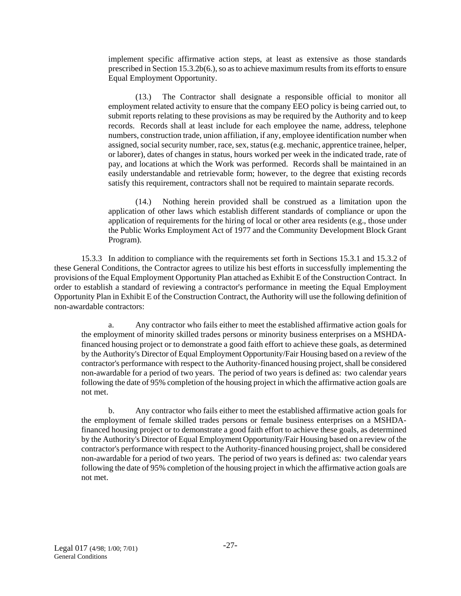implement specific affirmative action steps, at least as extensive as those standards prescribed in Section [15.3.2](#page-23-0)[b](#page-23-1)[\(6.\),](#page-24-0) so as to achieve maximum results from its efforts to ensure Equal Employment Opportunity.

(13.) The Contractor shall designate a responsible official to monitor all employment related activity to ensure that the company EEO policy is being carried out, to submit reports relating to these provisions as may be required by the Authority and to keep records. Records shall at least include for each employee the name, address, telephone numbers, construction trade, union affiliation, if any, employee identification number when assigned, social security number, race, sex, status (e.g. mechanic, apprentice trainee, helper, or laborer), dates of changes in status, hours worked per week in the indicated trade, rate of pay, and locations at which the Work was performed. Records shall be maintained in an easily understandable and retrievable form; however, to the degree that existing records satisfy this requirement, contractors shall not be required to maintain separate records.

(14.) Nothing herein provided shall be construed as a limitation upon the application of other laws which establish different standards of compliance or upon the application of requirements for the hiring of local or other area residents (e.g., those under the Public Works Employment Act of 1977 and the Community Development Block Grant Program).

15.3.3 In addition to compliance with the requirements set forth in Sections [15.3.1](#page-23-2) and [15.3.2](#page-23-0) of these General Conditions, the Contractor agrees to utilize his best efforts in successfully implementing the provisions of the Equal Employment Opportunity Plan attached as Exhibit E of the Construction Contract. In order to establish a standard of reviewing a contractor's performance in meeting the Equal Employment Opportunity Plan in Exhibit E of the Construction Contract, the Authority will use the following definition of non-awardable contractors:

a. Any contractor who fails either to meet the established affirmative action goals for the employment of minority skilled trades persons or minority business enterprises on a MSHDAfinanced housing project or to demonstrate a good faith effort to achieve these goals, as determined by the Authority's Director of Equal Employment Opportunity/Fair Housing based on a review of the contractor's performance with respect to the Authority-financed housing project, shall be considered non-awardable for a period of two years. The period of two years is defined as: two calendar years following the date of 95% completion of the housing project in which the affirmative action goals are not met.

b. Any contractor who fails either to meet the established affirmative action goals for the employment of female skilled trades persons or female business enterprises on a MSHDAfinanced housing project or to demonstrate a good faith effort to achieve these goals, as determined by the Authority's Director of Equal Employment Opportunity/Fair Housing based on a review of the contractor's performance with respect to the Authority-financed housing project, shall be considered non-awardable for a period of two years. The period of two years is defined as: two calendar years following the date of 95% completion of the housing project in which the affirmative action goals are not met.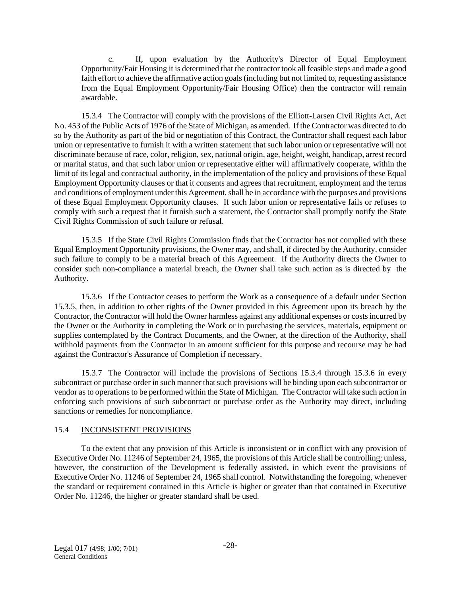c. If, upon evaluation by the Authority's Director of Equal Employment Opportunity/Fair Housing it is determined that the contractor took all feasible steps and made a good faith effort to achieve the affirmative action goals (including but not limited to, requesting assistance from the Equal Employment Opportunity/Fair Housing Office) then the contractor will remain awardable.

<span id="page-29-1"></span>15.3.4 The Contractor will comply with the provisions of the Elliott-Larsen Civil Rights Act, Act No. 453 of the Public Acts of 1976 of the State of Michigan, as amended. If the Contractor was directed to do so by the Authority as part of the bid or negotiation of this Contract, the Contractor shall request each labor union or representative to furnish it with a written statement that such labor union or representative will not discriminate because of race, color, religion, sex, national origin, age, height, weight, handicap, arrest record or marital status, and that such labor union or representative either will affirmatively cooperate, within the limit of its legal and contractual authority, in the implementation of the policy and provisions of these Equal Employment Opportunity clauses or that it consents and agrees that recruitment, employment and the terms and conditions of employment under this Agreement, shall be in accordance with the purposes and provisions of these Equal Employment Opportunity clauses. If such labor union or representative fails or refuses to comply with such a request that it furnish such a statement, the Contractor shall promptly notify the State Civil Rights Commission of such failure or refusal.

<span id="page-29-0"></span>15.3.5 If the State Civil Rights Commission finds that the Contractor has not complied with these Equal Employment Opportunity provisions, the Owner may, and shall, if directed by the Authority, consider such failure to comply to be a material breach of this Agreement. If the Authority directs the Owner to consider such non-compliance a material breach, the Owner shall take such action as is directed by the Authority.

<span id="page-29-2"></span>15.3.6 If the Contractor ceases to perform the Work as a consequence of a default under Section [15.3.5,](#page-29-0) then, in addition to other rights of the Owner provided in this Agreement upon its breach by the Contractor, the Contractor will hold the Owner harmless against any additional expenses or costs incurred by the Owner or the Authority in completing the Work or in purchasing the services, materials, equipment or supplies contemplated by the Contract Documents, and the Owner, at the direction of the Authority, shall withhold payments from the Contractor in an amount sufficient for this purpose and recourse may be had against the Contractor's Assurance of Completion if necessary.

15.3.7 The Contractor will include the provisions of Sections [15.3.4](#page-29-1) through [15.3.6](#page-29-2) in every subcontract or purchase order in such manner that such provisions will be binding upon each subcontractor or vendor as to operations to be performed within the State of Michigan. The Contractor will take such action in enforcing such provisions of such subcontract or purchase order as the Authority may direct, including sanctions or remedies for noncompliance.

### 15.4 INCONSISTENT PROVISIONS

To the extent that any provision of this Article is inconsistent or in conflict with any provision of Executive Order No. 11246 of September 24, 1965, the provisions of this Article shall be controlling; unless, however, the construction of the Development is federally assisted, in which event the provisions of Executive Order No. 11246 of September 24, 1965 shall control. Notwithstanding the foregoing, whenever the standard or requirement contained in this Article is higher or greater than that contained in Executive Order No. 11246, the higher or greater standard shall be used.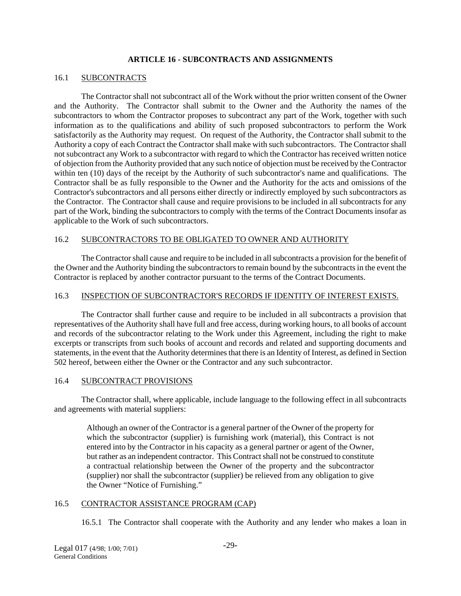### **ARTICLE 16 - SUBCONTRACTS AND ASSIGNMENTS**

### 16.1 SUBCONTRACTS

The Contractor shall not subcontract all of the Work without the prior written consent of the Owner and the Authority. The Contractor shall submit to the Owner and the Authority the names of the subcontractors to whom the Contractor proposes to subcontract any part of the Work, together with such information as to the qualifications and ability of such proposed subcontractors to perform the Work satisfactorily as the Authority may request. On request of the Authority, the Contractor shall submit to the Authority a copy of each Contract the Contractor shall make with such subcontractors. The Contractor shall not subcontract any Work to a subcontractor with regard to which the Contractor has received written notice of objection from the Authority provided that any such notice of objection must be received by the Contractor within ten (10) days of the receipt by the Authority of such subcontractor's name and qualifications. The Contractor shall be as fully responsible to the Owner and the Authority for the acts and omissions of the Contractor's subcontractors and all persons either directly or indirectly employed by such subcontractors as the Contractor. The Contractor shall cause and require provisions to be included in all subcontracts for any part of the Work, binding the subcontractors to comply with the terms of the Contract Documents insofar as applicable to the Work of such subcontractors.

### 16.2 SUBCONTRACTORS TO BE OBLIGATED TO OWNER AND AUTHORITY

The Contractor shall cause and require to be included in all subcontracts a provision for the benefit of the Owner and the Authority binding the subcontractors to remain bound by the subcontracts in the event the Contractor is replaced by another contractor pursuant to the terms of the Contract Documents.

### 16.3 INSPECTION OF SUBCONTRACTOR'S RECORDS IF IDENTITY OF INTEREST EXISTS.

The Contractor shall further cause and require to be included in all subcontracts a provision that representatives of the Authority shall have full and free access, during working hours, to all books of account and records of the subcontractor relating to the Work under this Agreement, including the right to make excerpts or transcripts from such books of account and records and related and supporting documents and statements, in the event that the Authority determines that there is an Identity of Interest, as defined in Section 502 hereof, between either the Owner or the Contractor and any such subcontractor.

#### 16.4 SUBCONTRACT PROVISIONS

The Contractor shall, where applicable, include language to the following effect in all subcontracts and agreements with material suppliers:

Although an owner of the Contractor is a general partner of the Owner of the property for which the subcontractor (supplier) is furnishing work (material), this Contract is not entered into by the Contractor in his capacity as a general partner or agent of the Owner, but rather as an independent contractor. This Contract shall not be construed to constitute a contractual relationship between the Owner of the property and the subcontractor (supplier) nor shall the subcontractor (supplier) be relieved from any obligation to give the Owner "Notice of Furnishing."

# 16.5 CONTRACTOR ASSISTANCE PROGRAM (CAP)

16.5.1 The Contractor shall cooperate with the Authority and any lender who makes a loan in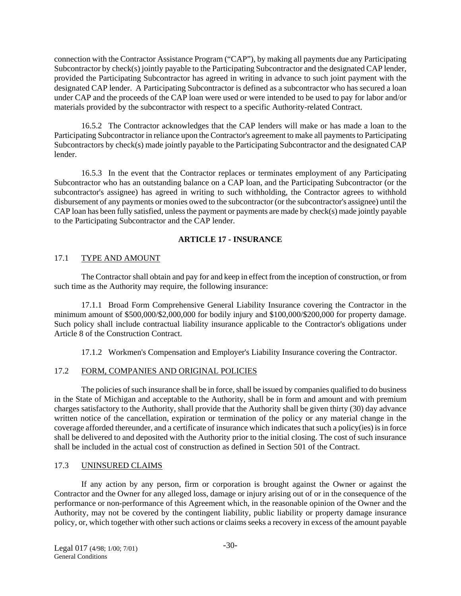connection with the Contractor Assistance Program ("CAP"), by making all payments due any Participating Subcontractor by check(s) jointly payable to the Participating Subcontractor and the designated CAP lender, provided the Participating Subcontractor has agreed in writing in advance to such joint payment with the designated CAP lender. A Participating Subcontractor is defined as a subcontractor who has secured a loan under CAP and the proceeds of the CAP loan were used or were intended to be used to pay for labor and/or materials provided by the subcontractor with respect to a specific Authority-related Contract.

16.5.2 The Contractor acknowledges that the CAP lenders will make or has made a loan to the Participating Subcontractor in reliance upon the Contractor's agreement to make all payments to Participating Subcontractors by check(s) made jointly payable to the Participating Subcontractor and the designated CAP lender.

16.5.3 In the event that the Contractor replaces or terminates employment of any Participating Subcontractor who has an outstanding balance on a CAP loan, and the Participating Subcontractor (or the subcontractor's assignee) has agreed in writing to such withholding, the Contractor agrees to withhold disbursement of any payments or monies owed to the subcontractor (or the subcontractor's assignee) until the CAP loan has been fully satisfied, unless the payment or payments are made by check(s) made jointly payable to the Participating Subcontractor and the CAP lender.

## **ARTICLE 17 - INSURANCE**

## 17.1 TYPE AND AMOUNT

The Contractor shall obtain and pay for and keep in effect from the inception of construction, or from such time as the Authority may require, the following insurance:

17.1.1 Broad Form Comprehensive General Liability Insurance covering the Contractor in the minimum amount of \$500,000/\$2,000,000 for bodily injury and \$100,000/\$200,000 for property damage. Such policy shall include contractual liability insurance applicable to the Contractor's obligations under Article 8 of the Construction Contract.

17.1.2 Workmen's Compensation and Employer's Liability Insurance covering the Contractor.

# 17.2 FORM, COMPANIES AND ORIGINAL POLICIES

The policies of such insurance shall be in force, shall be issued by companies qualified to do business in the State of Michigan and acceptable to the Authority, shall be in form and amount and with premium charges satisfactory to the Authority, shall provide that the Authority shall be given thirty (30) day advance written notice of the cancellation, expiration or termination of the policy or any material change in the coverage afforded thereunder, and a certificate of insurance which indicates that such a policy(ies) is in force shall be delivered to and deposited with the Authority prior to the initial closing. The cost of such insurance shall be included in the actual cost of construction as defined in Section 501 of the Contract.

# 17.3 UNINSURED CLAIMS

If any action by any person, firm or corporation is brought against the Owner or against the Contractor and the Owner for any alleged loss, damage or injury arising out of or in the consequence of the performance or non-performance of this Agreement which, in the reasonable opinion of the Owner and the Authority, may not be covered by the contingent liability, public liability or property damage insurance policy, or, which together with other such actions or claims seeks a recovery in excess of the amount payable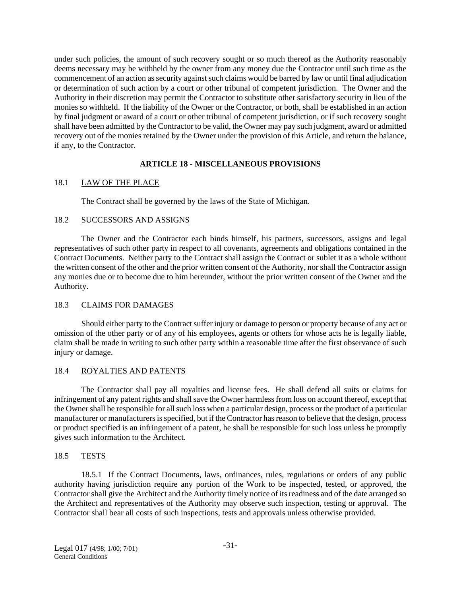under such policies, the amount of such recovery sought or so much thereof as the Authority reasonably deems necessary may be withheld by the owner from any money due the Contractor until such time as the commencement of an action as security against such claims would be barred by law or until final adjudication or determination of such action by a court or other tribunal of competent jurisdiction. The Owner and the Authority in their discretion may permit the Contractor to substitute other satisfactory security in lieu of the monies so withheld. If the liability of the Owner or the Contractor, or both, shall be established in an action by final judgment or award of a court or other tribunal of competent jurisdiction, or if such recovery sought shall have been admitted by the Contractor to be valid, the Owner may pay such judgment, award or admitted recovery out of the monies retained by the Owner under the provision of this Article, and return the balance, if any, to the Contractor.

### **ARTICLE 18 - MISCELLANEOUS PROVISIONS**

### 18.1 LAW OF THE PLACE

The Contract shall be governed by the laws of the State of Michigan.

### 18.2 SUCCESSORS AND ASSIGNS

The Owner and the Contractor each binds himself, his partners, successors, assigns and legal representatives of such other party in respect to all covenants, agreements and obligations contained in the Contract Documents. Neither party to the Contract shall assign the Contract or sublet it as a whole without the written consent of the other and the prior written consent of the Authority, nor shall the Contractor assign any monies due or to become due to him hereunder, without the prior written consent of the Owner and the Authority.

### 18.3 CLAIMS FOR DAMAGES

Should either party to the Contract suffer injury or damage to person or property because of any act or omission of the other party or of any of his employees, agents or others for whose acts he is legally liable, claim shall be made in writing to such other party within a reasonable time after the first observance of such injury or damage.

### 18.4 ROYALTIES AND PATENTS

The Contractor shall pay all royalties and license fees. He shall defend all suits or claims for infringement of any patent rights and shall save the Owner harmless from loss on account thereof, except that the Owner shall be responsible for all such loss when a particular design, process or the product of a particular manufacturer or manufacturers is specified, but if the Contractor has reason to believe that the design, process or product specified is an infringement of a patent, he shall be responsible for such loss unless he promptly gives such information to the Architect.

### <span id="page-32-1"></span>18.5 TESTS

<span id="page-32-0"></span>18.5.1 If the Contract Documents, laws, ordinances, rules, regulations or orders of any public authority having jurisdiction require any portion of the Work to be inspected, tested, or approved, the Contractor shall give the Architect and the Authority timely notice of its readiness and of the date arranged so the Architect and representatives of the Authority may observe such inspection, testing or approval. The Contractor shall bear all costs of such inspections, tests and approvals unless otherwise provided.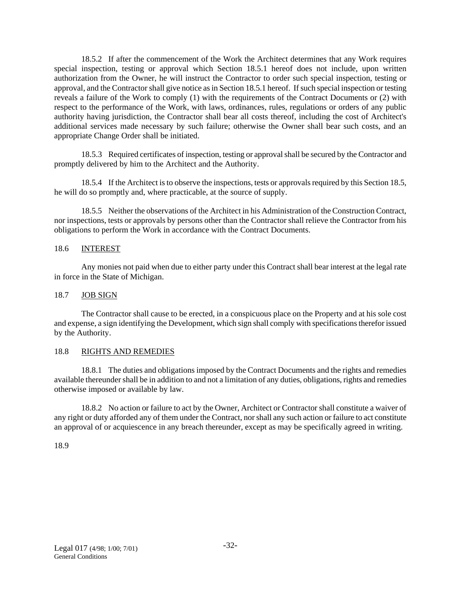<span id="page-33-0"></span>18.5.2 If after the commencement of the Work the Architect determines that any Work requires special inspection, testing or approval which Section [18.5.1](#page-32-0) hereof does not include, upon written authorization from the Owner, he will instruct the Contractor to order such special inspection, testing or approval, and the Contractor shall give notice as in Section [18.5.1 h](#page-32-0)ereof. If such special inspection or testing reveals a failure of the Work to comply (1) with the requirements of the Contract Documents or (2) with respect to the performance of the Work, with laws, ordinances, rules, regulations or orders of any public authority having jurisdiction, the Contractor shall bear all costs thereof, including the cost of Architect's additional services made necessary by such failure; otherwise the Owner shall bear such costs, and an appropriate Change Order shall be initiated.

18.5.3 Required certificates of inspection, testing or approval shall be secured by the Contractor and promptly delivered by him to the Architect and the Authority.

18.5.4 If the Architect is to observe the inspections, tests or approvals required by this Section [18.5,](#page-32-1) he will do so promptly and, where practicable, at the source of supply.

18.5.5 Neither the observations of the Architect in his Administration of the Construction Contract, nor inspections, tests or approvals by persons other than the Contractor shall relieve the Contractor from his obligations to perform the Work in accordance with the Contract Documents.

### 18.6 INTEREST

Any monies not paid when due to either party under this Contract shall bear interest at the legal rate in force in the State of Michigan.

### 18.7 JOB SIGN

The Contractor shall cause to be erected, in a conspicuous place on the Property and at his sole cost and expense, a sign identifying the Development, which sign shall comply with specifications therefor issued by the Authority.

#### 18.8 RIGHTS AND REMEDIES

18.8.1 The duties and obligations imposed by the Contract Documents and the rights and remedies available thereunder shall be in addition to and not a limitation of any duties, obligations, rights and remedies otherwise imposed or available by law.

18.8.2 No action or failure to act by the Owner, Architect or Contractor shall constitute a waiver of any right or duty afforded any of them under the Contract, nor shall any such action or failure to act constitute an approval of or acquiescence in any breach thereunder, except as may be specifically agreed in writing.

18.9